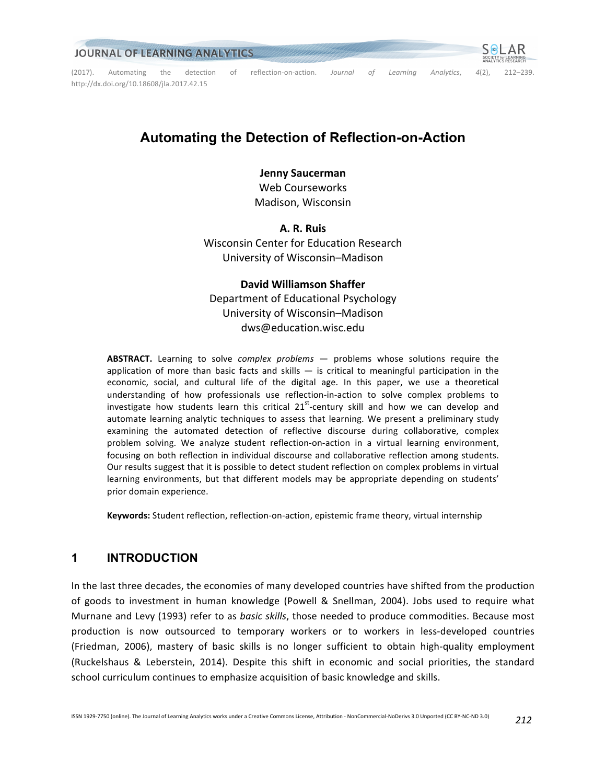

# **Automating the Detection of Reflection-on-Action**

### **Jenny Saucerman**

Web Courseworks Madison, Wisconsin

**A. R. Ruis** Wisconsin Center for Education Research University of Wisconsin–Madison

# **David Williamson Shaffer** Department of Educational Psychology University of Wisconsin–Madison dws@education.wisc.edu

ABSTRACT. Learning to solve *complex problems* — problems whose solutions require the application of more than basic facts and skills  $-$  is critical to meaningful participation in the economic, social, and cultural life of the digital age. In this paper, we use a theoretical understanding of how professionals use reflection-in-action to solve complex problems to investigate how students learn this critical  $21^{st}$ -century skill and how we can develop and automate learning analytic techniques to assess that learning. We present a preliminary study examining the automated detection of reflective discourse during collaborative, complex problem solving. We analyze student reflection-on-action in a virtual learning environment, focusing on both reflection in individual discourse and collaborative reflection among students. Our results suggest that it is possible to detect student reflection on complex problems in virtual learning environments, but that different models may be appropriate depending on students' prior domain experience.

**Keywords:** Student reflection, reflection-on-action, epistemic frame theory, virtual internship

# **1 INTRODUCTION**

In the last three decades, the economies of many developed countries have shifted from the production of goods to investment in human knowledge (Powell & Snellman, 2004). Jobs used to require what Murnane and Levy (1993) refer to as *basic skills*, those needed to produce commodities. Because most production is now outsourced to temporary workers or to workers in less-developed countries (Friedman, 2006), mastery of basic skills is no longer sufficient to obtain high-quality employment (Ruckelshaus & Leberstein, 2014). Despite this shift in economic and social priorities, the standard school curriculum continues to emphasize acquisition of basic knowledge and skills.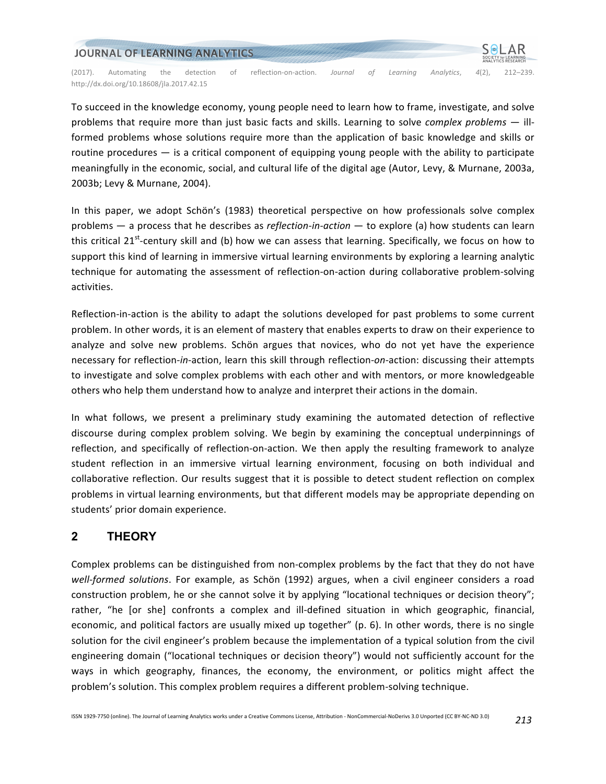

To succeed in the knowledge economy, young people need to learn how to frame, investigate, and solve problems that require more than just basic facts and skills. Learning to solve *complex problems* — illformed problems whose solutions require more than the application of basic knowledge and skills or routine procedures  $-$  is a critical component of equipping young people with the ability to participate meaningfully in the economic, social, and cultural life of the digital age (Autor, Levy, & Murnane, 2003a, 2003b; Levy & Murnane, 2004).

In this paper, we adopt Schön's (1983) theoretical perspective on how professionals solve complex problems — a process that he describes as *reflection-in-action* — to explore (a) how students can learn this critical  $21^{st}$ -century skill and (b) how we can assess that learning. Specifically, we focus on how to support this kind of learning in immersive virtual learning environments by exploring a learning analytic technique for automating the assessment of reflection-on-action during collaborative problem-solving activities.

Reflection-in-action is the ability to adapt the solutions developed for past problems to some current problem. In other words, it is an element of mastery that enables experts to draw on their experience to analyze and solve new problems. Schön argues that novices, who do not yet have the experience necessary for reflection-in-action, learn this skill through reflection-on-action: discussing their attempts to investigate and solve complex problems with each other and with mentors, or more knowledgeable others who help them understand how to analyze and interpret their actions in the domain.

In what follows, we present a preliminary study examining the automated detection of reflective discourse during complex problem solving. We begin by examining the conceptual underpinnings of reflection, and specifically of reflection-on-action. We then apply the resulting framework to analyze student reflection in an immersive virtual learning environment, focusing on both individual and collaborative reflection. Our results suggest that it is possible to detect student reflection on complex problems in virtual learning environments, but that different models may be appropriate depending on students' prior domain experience.

# **2 THEORY**

Complex problems can be distinguished from non-complex problems by the fact that they do not have well-formed solutions. For example, as Schön (1992) argues, when a civil engineer considers a road construction problem, he or she cannot solve it by applying "locational techniques or decision theory"; rather, "he [or she] confronts a complex and ill-defined situation in which geographic, financial, economic, and political factors are usually mixed up together" (p. 6). In other words, there is no single solution for the civil engineer's problem because the implementation of a typical solution from the civil engineering domain ("locational techniques or decision theory") would not sufficiently account for the ways in which geography, finances, the economy, the environment, or politics might affect the problem's solution. This complex problem requires a different problem-solving technique.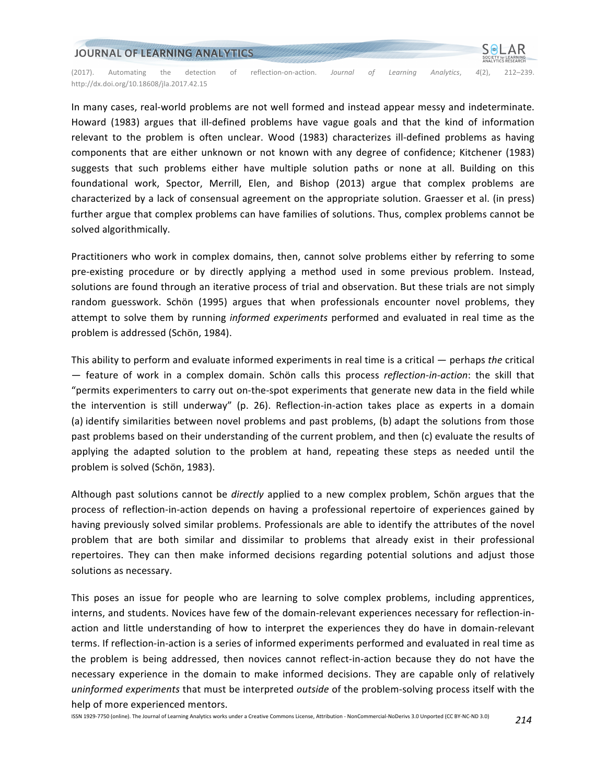

In many cases, real-world problems are not well formed and instead appear messy and indeterminate. Howard (1983) argues that ill-defined problems have vague goals and that the kind of information relevant to the problem is often unclear. Wood (1983) characterizes ill-defined problems as having components that are either unknown or not known with any degree of confidence; Kitchener (1983) suggests that such problems either have multiple solution paths or none at all. Building on this foundational work, Spector, Merrill, Elen, and Bishop (2013) argue that complex problems are characterized by a lack of consensual agreement on the appropriate solution. Graesser et al. (in press) further argue that complex problems can have families of solutions. Thus, complex problems cannot be solved algorithmically.

Practitioners who work in complex domains, then, cannot solve problems either by referring to some pre-existing procedure or by directly applying a method used in some previous problem. Instead, solutions are found through an iterative process of trial and observation. But these trials are not simply random guesswork. Schön (1995) argues that when professionals encounter novel problems, they attempt to solve them by running *informed experiments* performed and evaluated in real time as the problem is addressed (Schön, 1984).

This ability to perform and evaluate informed experiments in real time is a critical — perhaps *the* critical  $-$  feature of work in a complex domain. Schön calls this process *reflection-in-action*: the skill that "permits experimenters to carry out on-the-spot experiments that generate new data in the field while the intervention is still underway" (p. 26). Reflection-in-action takes place as experts in a domain (a) identify similarities between novel problems and past problems, (b) adapt the solutions from those past problems based on their understanding of the current problem, and then (c) evaluate the results of applying the adapted solution to the problem at hand, repeating these steps as needed until the problem is solved (Schön, 1983).

Although past solutions cannot be *directly* applied to a new complex problem, Schön argues that the process of reflection-in-action depends on having a professional repertoire of experiences gained by having previously solved similar problems. Professionals are able to identify the attributes of the novel problem that are both similar and dissimilar to problems that already exist in their professional repertoires. They can then make informed decisions regarding potential solutions and adjust those solutions as necessary.

This poses an issue for people who are learning to solve complex problems, including apprentices, interns, and students. Novices have few of the domain-relevant experiences necessary for reflection-inaction and little understanding of how to interpret the experiences they do have in domain-relevant terms. If reflection-in-action is a series of informed experiments performed and evaluated in real time as the problem is being addressed, then novices cannot reflect-in-action because they do not have the necessary experience in the domain to make informed decisions. They are capable only of relatively *uninformed experiments* that must be interpreted *outside* of the problem-solving process itself with the help of more experienced mentors.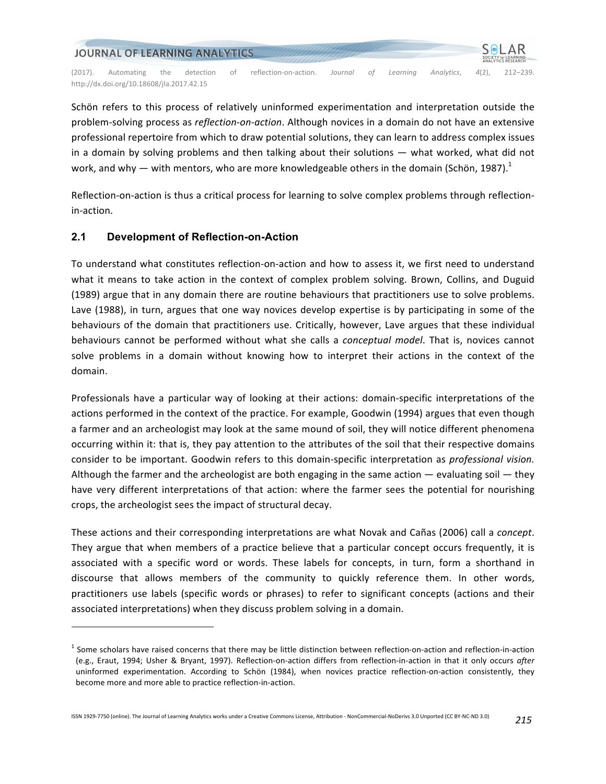

Schön refers to this process of relatively uninformed experimentation and interpretation outside the problem-solving process as *reflection-on-action*. Although novices in a domain do not have an extensive professional repertoire from which to draw potential solutions, they can learn to address complex issues in a domain by solving problems and then talking about their solutions  $-$  what worked, what did not work, and why — with mentors, who are more knowledgeable others in the domain (Schön, 1987).<sup>1</sup>

Reflection-on-action is thus a critical process for learning to solve complex problems through reflectionin-action.

### **2.1 Development of Reflection-on-Action**

<u> 1989 - Johann Barn, mars ann an t-Amhain an t-Amhain an t-Amhain an t-Amhain an t-Amhain an t-Amhain an t-Amh</u>

To understand what constitutes reflection-on-action and how to assess it, we first need to understand what it means to take action in the context of complex problem solving. Brown, Collins, and Duguid (1989) argue that in any domain there are routine behaviours that practitioners use to solve problems. Lave (1988), in turn, argues that one way novices develop expertise is by participating in some of the behaviours of the domain that practitioners use. Critically, however, Lave argues that these individual behaviours cannot be performed without what she calls a *conceptual model*. That is, novices cannot solve problems in a domain without knowing how to interpret their actions in the context of the domain.

Professionals have a particular way of looking at their actions: domain-specific interpretations of the actions performed in the context of the practice. For example, Goodwin (1994) argues that even though a farmer and an archeologist may look at the same mound of soil, they will notice different phenomena occurring within it: that is, they pay attention to the attributes of the soil that their respective domains consider to be important. Goodwin refers to this domain-specific interpretation as *professional vision.* Although the farmer and the archeologist are both engaging in the same action  $-$  evaluating soil  $-$  they have very different interpretations of that action: where the farmer sees the potential for nourishing crops, the archeologist sees the impact of structural decay.

These actions and their corresponding interpretations are what Novak and Cañas (2006) call a *concept*. They argue that when members of a practice believe that a particular concept occurs frequently, it is associated with a specific word or words. These labels for concepts, in turn, form a shorthand in discourse that allows members of the community to quickly reference them. In other words, practitioners use labels (specific words or phrases) to refer to significant concepts (actions and their associated interpretations) when they discuss problem solving in a domain.

 $<sup>1</sup>$  Some scholars have raised concerns that there may be little distinction between reflection-on-action and reflection-in-action</sup> (e.g., Eraut, 1994; Usher & Bryant, 1997). Reflection-on-action differs from reflection-in-action in that it only occurs after uninformed experimentation. According to Schön (1984), when novices practice reflection-on-action consistently, they become more and more able to practice reflection-in-action.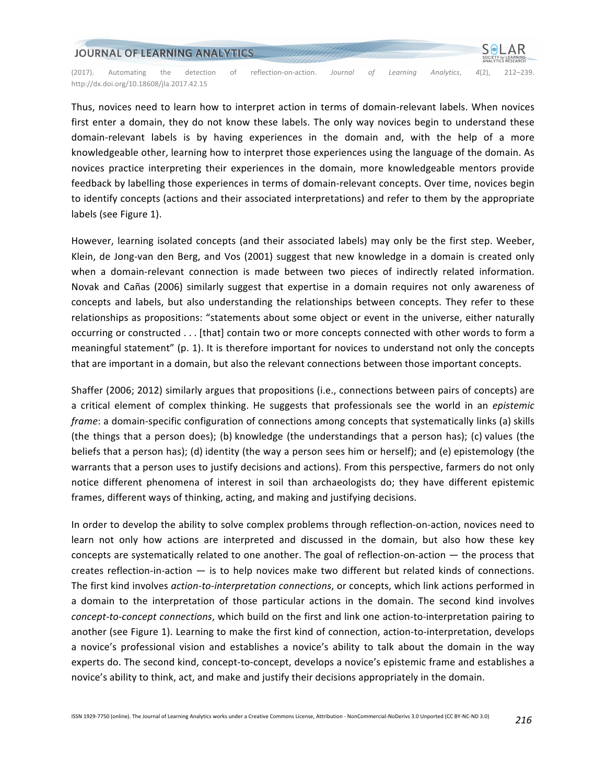

Thus, novices need to learn how to interpret action in terms of domain-relevant labels. When novices first enter a domain, they do not know these labels. The only way novices begin to understand these domain-relevant labels is by having experiences in the domain and, with the help of a more knowledgeable other, learning how to interpret those experiences using the language of the domain. As novices practice interpreting their experiences in the domain, more knowledgeable mentors provide feedback by labelling those experiences in terms of domain-relevant concepts. Over time, novices begin to identify concepts (actions and their associated interpretations) and refer to them by the appropriate labels (see Figure 1).

However, learning isolated concepts (and their associated labels) may only be the first step. Weeber, Klein, de Jong-van den Berg, and Vos (2001) suggest that new knowledge in a domain is created only when a domain-relevant connection is made between two pieces of indirectly related information. Novak and Cañas (2006) similarly suggest that expertise in a domain requires not only awareness of concepts and labels, but also understanding the relationships between concepts. They refer to these relationships as propositions: "statements about some object or event in the universe, either naturally occurring or constructed . . . [that] contain two or more concepts connected with other words to form a meaningful statement" (p. 1). It is therefore important for novices to understand not only the concepts that are important in a domain, but also the relevant connections between those important concepts.

Shaffer (2006; 2012) similarly argues that propositions (i.e., connections between pairs of concepts) are a critical element of complex thinking. He suggests that professionals see the world in an *epistemic frame*: a domain-specific configuration of connections among concepts that systematically links (a) skills (the things that a person does); (b) knowledge (the understandings that a person has); (c) values (the beliefs that a person has); (d) identity (the way a person sees him or herself); and (e) epistemology (the warrants that a person uses to justify decisions and actions). From this perspective, farmers do not only notice different phenomena of interest in soil than archaeologists do; they have different epistemic frames, different ways of thinking, acting, and making and justifying decisions.

In order to develop the ability to solve complex problems through reflection-on-action, novices need to learn not only how actions are interpreted and discussed in the domain, but also how these key concepts are systematically related to one another. The goal of reflection-on-action  $-$  the process that creates reflection-in-action  $-$  is to help novices make two different but related kinds of connections. The first kind involves *action-to-interpretation connections*, or concepts, which link actions performed in a domain to the interpretation of those particular actions in the domain. The second kind involves *concept-to-concept connections*, which build on the first and link one action-to-interpretation pairing to another (see Figure 1). Learning to make the first kind of connection, action-to-interpretation, develops a novice's professional vision and establishes a novice's ability to talk about the domain in the way experts do. The second kind, concept-to-concept, develops a novice's epistemic frame and establishes a novice's ability to think, act, and make and justify their decisions appropriately in the domain.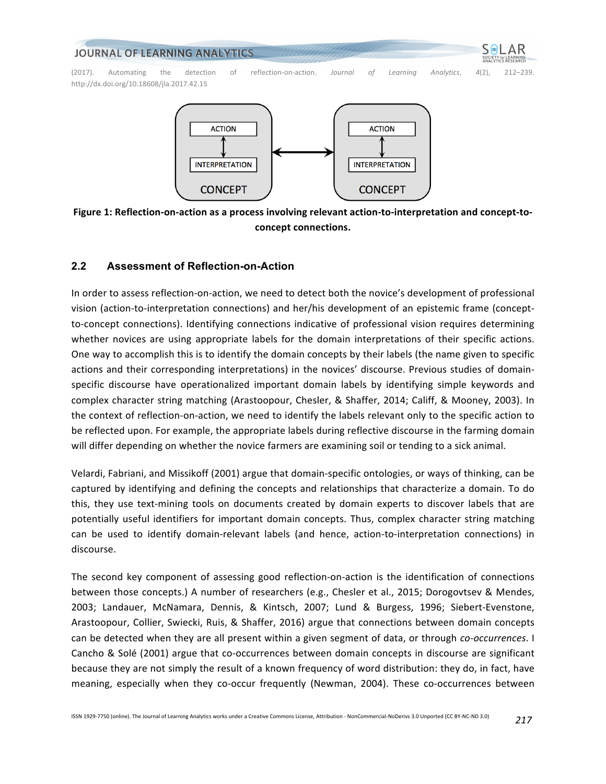#### JOURNAL OF LEARNING ANALYTICS

(2017). Automating the detection of reflection-on-action. *Journal of Learning Analytics*, 4(2), 212–239. http://dx.doi.org/10.18608/jla.2017.42.15



Figure 1: Reflection-on-action as a process involving relevant action-to-interpretation and concept-to**concept connections.**

#### **2.2 Assessment of Reflection-on-Action**

In order to assess reflection-on-action, we need to detect both the novice's development of professional vision (action-to-interpretation connections) and her/his development of an epistemic frame (conceptto-concept connections). Identifying connections indicative of professional vision requires determining whether novices are using appropriate labels for the domain interpretations of their specific actions. One way to accomplish this is to identify the domain concepts by their labels (the name given to specific actions and their corresponding interpretations) in the novices' discourse. Previous studies of domainspecific discourse have operationalized important domain labels by identifying simple keywords and complex character string matching (Arastoopour, Chesler, & Shaffer, 2014; Califf, & Mooney, 2003). In the context of reflection-on-action, we need to identify the labels relevant only to the specific action to be reflected upon. For example, the appropriate labels during reflective discourse in the farming domain will differ depending on whether the novice farmers are examining soil or tending to a sick animal.

Velardi, Fabriani, and Missikoff (2001) argue that domain-specific ontologies, or ways of thinking, can be captured by identifying and defining the concepts and relationships that characterize a domain. To do this, they use text-mining tools on documents created by domain experts to discover labels that are potentially useful identifiers for important domain concepts. Thus, complex character string matching can be used to identify domain-relevant labels (and hence, action-to-interpretation connections) in discourse.

The second key component of assessing good reflection-on-action is the identification of connections between those concepts.) A number of researchers (e.g., Chesler et al., 2015; Dorogovtsev & Mendes, 2003; Landauer, McNamara, Dennis, & Kintsch, 2007; Lund & Burgess, 1996; Siebert-Evenstone, Arastoopour, Collier, Swiecki, Ruis, & Shaffer, 2016) argue that connections between domain concepts can be detected when they are all present within a given segment of data, or through *co-occurrences*. I Cancho & Solé (2001) argue that co-occurrences between domain concepts in discourse are significant because they are not simply the result of a known frequency of word distribution: they do, in fact, have meaning, especially when they co-occur frequently (Newman, 2004). These co-occurrences between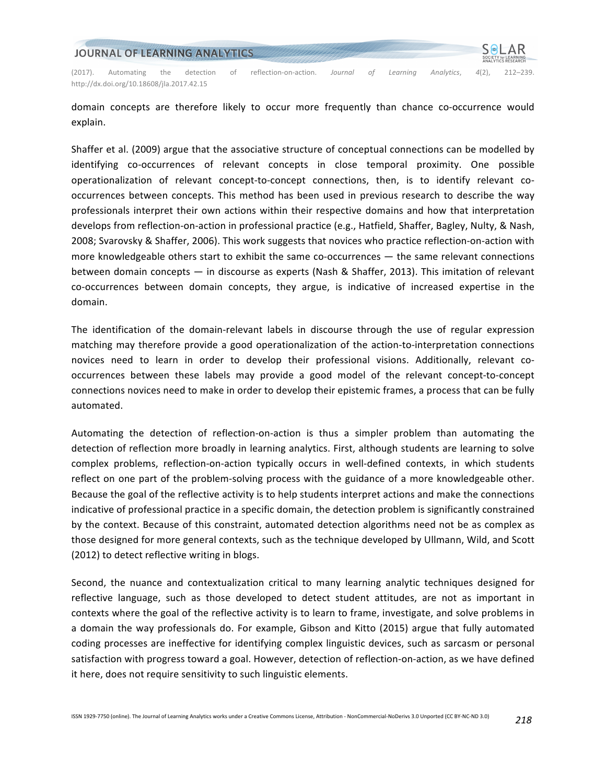

domain concepts are therefore likely to occur more frequently than chance co-occurrence would explain.

Shaffer et al. (2009) argue that the associative structure of conceptual connections can be modelled by identifying co-occurrences of relevant concepts in close temporal proximity. One possible operationalization of relevant concept-to-concept connections, then, is to identify relevant cooccurrences between concepts. This method has been used in previous research to describe the way professionals interpret their own actions within their respective domains and how that interpretation develops from reflection-on-action in professional practice (e.g., Hatfield, Shaffer, Bagley, Nulty, & Nash, 2008; Svarovsky & Shaffer, 2006). This work suggests that novices who practice reflection-on-action with more knowledgeable others start to exhibit the same co-occurrences  $-$  the same relevant connections between domain concepts — in discourse as experts (Nash & Shaffer, 2013). This imitation of relevant co-occurrences between domain concepts, they argue, is indicative of increased expertise in the domain.

The identification of the domain-relevant labels in discourse through the use of regular expression matching may therefore provide a good operationalization of the action-to-interpretation connections novices need to learn in order to develop their professional visions. Additionally, relevant cooccurrences between these labels may provide a good model of the relevant concept-to-concept connections novices need to make in order to develop their epistemic frames, a process that can be fully automated.

Automating the detection of reflection-on-action is thus a simpler problem than automating the detection of reflection more broadly in learning analytics. First, although students are learning to solve complex problems, reflection-on-action typically occurs in well-defined contexts, in which students reflect on one part of the problem-solving process with the guidance of a more knowledgeable other. Because the goal of the reflective activity is to help students interpret actions and make the connections indicative of professional practice in a specific domain, the detection problem is significantly constrained by the context. Because of this constraint, automated detection algorithms need not be as complex as those designed for more general contexts, such as the technique developed by Ullmann, Wild, and Scott (2012) to detect reflective writing in blogs.

Second, the nuance and contextualization critical to many learning analytic techniques designed for reflective language, such as those developed to detect student attitudes, are not as important in contexts where the goal of the reflective activity is to learn to frame, investigate, and solve problems in a domain the way professionals do. For example, Gibson and Kitto (2015) argue that fully automated coding processes are ineffective for identifying complex linguistic devices, such as sarcasm or personal satisfaction with progress toward a goal. However, detection of reflection-on-action, as we have defined it here, does not require sensitivity to such linguistic elements.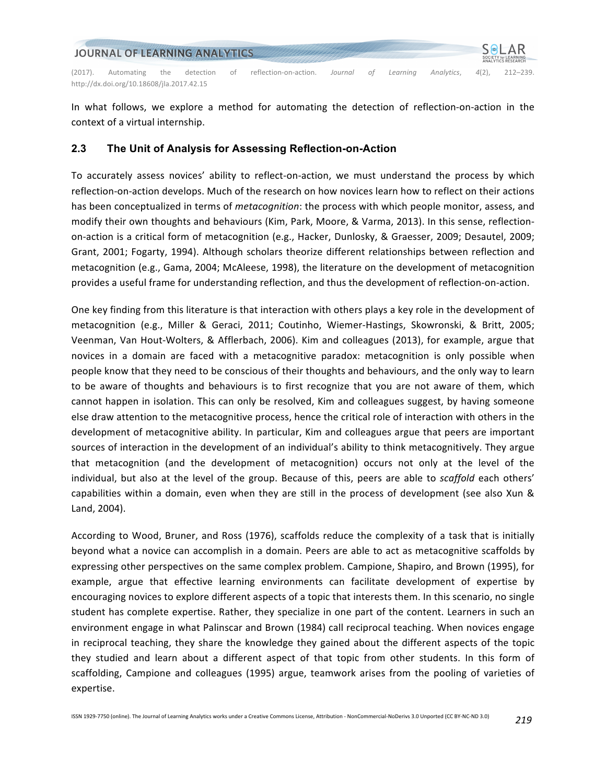

In what follows, we explore a method for automating the detection of reflection-on-action in the context of a virtual internship.

#### **2.3 The Unit of Analysis for Assessing Reflection-on-Action**

To accurately assess novices' ability to reflect-on-action, we must understand the process by which reflection-on-action develops. Much of the research on how novices learn how to reflect on their actions has been conceptualized in terms of *metacognition*: the process with which people monitor, assess, and modify their own thoughts and behaviours (Kim, Park, Moore, & Varma, 2013). In this sense, reflectionon-action is a critical form of metacognition (e.g., Hacker, Dunlosky, & Graesser, 2009; Desautel, 2009; Grant, 2001; Fogarty, 1994). Although scholars theorize different relationships between reflection and metacognition (e.g., Gama, 2004; McAleese, 1998), the literature on the development of metacognition provides a useful frame for understanding reflection, and thus the development of reflection-on-action.

One key finding from this literature is that interaction with others plays a key role in the development of metacognition (e.g., Miller & Geraci, 2011; Coutinho, Wiemer-Hastings, Skowronski, & Britt, 2005; Veenman, Van Hout-Wolters, & Afflerbach, 2006). Kim and colleagues (2013), for example, argue that novices in a domain are faced with a metacognitive paradox: metacognition is only possible when people know that they need to be conscious of their thoughts and behaviours, and the only way to learn to be aware of thoughts and behaviours is to first recognize that you are not aware of them, which cannot happen in isolation. This can only be resolved, Kim and colleagues suggest, by having someone else draw attention to the metacognitive process, hence the critical role of interaction with others in the development of metacognitive ability. In particular, Kim and colleagues argue that peers are important sources of interaction in the development of an individual's ability to think metacognitively. They argue that metacognition (and the development of metacognition) occurs not only at the level of the individual, but also at the level of the group. Because of this, peers are able to *scaffold* each others' capabilities within a domain, even when they are still in the process of development (see also Xun & Land, 2004).

According to Wood, Bruner, and Ross (1976), scaffolds reduce the complexity of a task that is initially beyond what a novice can accomplish in a domain. Peers are able to act as metacognitive scaffolds by expressing other perspectives on the same complex problem. Campione, Shapiro, and Brown (1995), for example, argue that effective learning environments can facilitate development of expertise by encouraging novices to explore different aspects of a topic that interests them. In this scenario, no single student has complete expertise. Rather, they specialize in one part of the content. Learners in such an environment engage in what Palinscar and Brown (1984) call reciprocal teaching. When novices engage in reciprocal teaching, they share the knowledge they gained about the different aspects of the topic they studied and learn about a different aspect of that topic from other students. In this form of scaffolding, Campione and colleagues (1995) argue, teamwork arises from the pooling of varieties of expertise.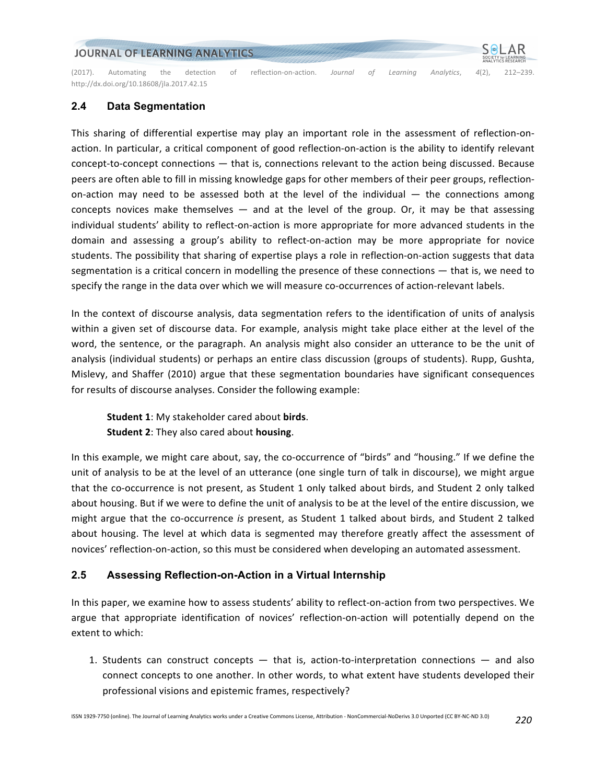#### JOURNAL OF LEARNING ANALYTICS

(2017). Automating the detection of reflection-on-action. Journal of Learning Analytics, 4(2), 212–239. http://dx.doi.org/10.18608/jla.2017.42.15

### **2.4 Data Segmentation**

This sharing of differential expertise may play an important role in the assessment of reflection-onaction. In particular, a critical component of good reflection-on-action is the ability to identify relevant  $concept-to-concept connections$  — that is, connections relevant to the action being discussed. Because peers are often able to fill in missing knowledge gaps for other members of their peer groups, reflectionon-action may need to be assessed both at the level of the individual  $-$  the connections among concepts novices make themselves  $-$  and at the level of the group. Or, it may be that assessing individual students' ability to reflect-on-action is more appropriate for more advanced students in the domain and assessing a group's ability to reflect-on-action may be more appropriate for novice students. The possibility that sharing of expertise plays a role in reflection-on-action suggests that data segmentation is a critical concern in modelling the presence of these connections  $-$  that is, we need to specify the range in the data over which we will measure co-occurrences of action-relevant labels.

In the context of discourse analysis, data segmentation refers to the identification of units of analysis within a given set of discourse data. For example, analysis might take place either at the level of the word, the sentence, or the paragraph. An analysis might also consider an utterance to be the unit of analysis (individual students) or perhaps an entire class discussion (groups of students). Rupp, Gushta, Mislevy, and Shaffer (2010) argue that these segmentation boundaries have significant consequences for results of discourse analyses. Consider the following example:

**Student 1:** My stakeholder cared about **birds**. **Student 2:** They also cared about **housing**.

In this example, we might care about, say, the co-occurrence of "birds" and "housing." If we define the unit of analysis to be at the level of an utterance (one single turn of talk in discourse), we might argue that the co-occurrence is not present, as Student 1 only talked about birds, and Student 2 only talked about housing. But if we were to define the unit of analysis to be at the level of the entire discussion, we might argue that the co-occurrence is present, as Student 1 talked about birds, and Student 2 talked about housing. The level at which data is segmented may therefore greatly affect the assessment of novices' reflection-on-action, so this must be considered when developing an automated assessment.

#### **2.5 Assessing Reflection-on-Action in a Virtual Internship**

In this paper, we examine how to assess students' ability to reflect-on-action from two perspectives. We argue that appropriate identification of novices' reflection-on-action will potentially depend on the extent to which:

1. Students can construct concepts — that is, action-to-interpretation connections — and also connect concepts to one another. In other words, to what extent have students developed their professional visions and epistemic frames, respectively?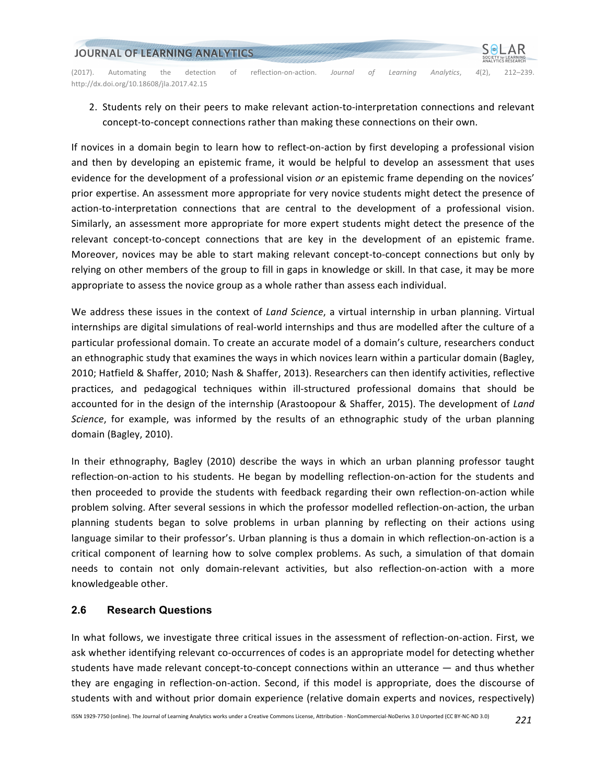

2. Students rely on their peers to make relevant action-to-interpretation connections and relevant concept-to-concept connections rather than making these connections on their own.

If novices in a domain begin to learn how to reflect-on-action by first developing a professional vision and then by developing an epistemic frame, it would be helpful to develop an assessment that uses evidence for the development of a professional vision or an epistemic frame depending on the novices' prior expertise. An assessment more appropriate for very novice students might detect the presence of action-to-interpretation connections that are central to the development of a professional vision. Similarly, an assessment more appropriate for more expert students might detect the presence of the relevant concept-to-concept connections that are key in the development of an epistemic frame. Moreover, novices may be able to start making relevant concept-to-concept connections but only by relying on other members of the group to fill in gaps in knowledge or skill. In that case, it may be more appropriate to assess the novice group as a whole rather than assess each individual.

We address these issues in the context of *Land Science*, a virtual internship in urban planning. Virtual internships are digital simulations of real-world internships and thus are modelled after the culture of a particular professional domain. To create an accurate model of a domain's culture, researchers conduct an ethnographic study that examines the ways in which novices learn within a particular domain (Bagley, 2010; Hatfield & Shaffer, 2010; Nash & Shaffer, 2013). Researchers can then identify activities, reflective practices, and pedagogical techniques within ill-structured professional domains that should be accounted for in the design of the internship (Arastoopour & Shaffer, 2015). The development of *Land Science*, for example, was informed by the results of an ethnographic study of the urban planning domain (Bagley, 2010).

In their ethnography, Bagley (2010) describe the ways in which an urban planning professor taught reflection-on-action to his students. He began by modelling reflection-on-action for the students and then proceeded to provide the students with feedback regarding their own reflection-on-action while problem solving. After several sessions in which the professor modelled reflection-on-action, the urban planning students began to solve problems in urban planning by reflecting on their actions using language similar to their professor's. Urban planning is thus a domain in which reflection-on-action is a critical component of learning how to solve complex problems. As such, a simulation of that domain needs to contain not only domain-relevant activities, but also reflection-on-action with a more knowledgeable other.

#### **2.6 Research Questions**

In what follows, we investigate three critical issues in the assessment of reflection-on-action. First, we ask whether identifying relevant co-occurrences of codes is an appropriate model for detecting whether students have made relevant concept-to-concept connections within an utterance — and thus whether they are engaging in reflection-on-action. Second, if this model is appropriate, does the discourse of students with and without prior domain experience (relative domain experts and novices, respectively)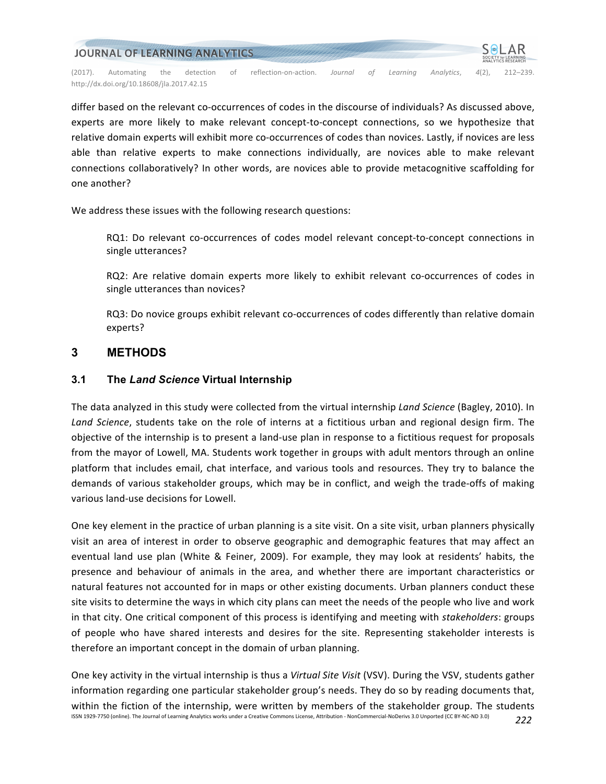

differ based on the relevant co-occurrences of codes in the discourse of individuals? As discussed above, experts are more likely to make relevant concept-to-concept connections, so we hypothesize that relative domain experts will exhibit more co-occurrences of codes than novices. Lastly, if novices are less able than relative experts to make connections individually, are novices able to make relevant connections collaboratively? In other words, are novices able to provide metacognitive scaffolding for one another?

We address these issues with the following research questions:

RQ1: Do relevant co-occurrences of codes model relevant concept-to-concept connections in single utterances?

RQ2: Are relative domain experts more likely to exhibit relevant co-occurrences of codes in single utterances than novices?

RQ3: Do novice groups exhibit relevant co-occurrences of codes differently than relative domain experts?

# **3 METHODS**

### **3.1 The** *Land Science* **Virtual Internship**

The data analyzed in this study were collected from the virtual internship *Land Science* (Bagley, 2010). In Land Science, students take on the role of interns at a fictitious urban and regional design firm. The objective of the internship is to present a land-use plan in response to a fictitious request for proposals from the mayor of Lowell, MA. Students work together in groups with adult mentors through an online platform that includes email, chat interface, and various tools and resources. They try to balance the demands of various stakeholder groups, which may be in conflict, and weigh the trade-offs of making various land-use decisions for Lowell.

One key element in the practice of urban planning is a site visit. On a site visit, urban planners physically visit an area of interest in order to observe geographic and demographic features that may affect an eventual land use plan (White & Feiner, 2009). For example, they may look at residents' habits, the presence and behaviour of animals in the area, and whether there are important characteristics or natural features not accounted for in maps or other existing documents. Urban planners conduct these site visits to determine the ways in which city plans can meet the needs of the people who live and work in that city. One critical component of this process is identifying and meeting with *stakeholders*: groups of people who have shared interests and desires for the site. Representing stakeholder interests is therefore an important concept in the domain of urban planning.

ISSN 1929-7750 (online). The Journal of Learning Analytics works under a Creative Commons License, Attribution - NonCommercial-NoDerivs 3.0 Unported (CC BY-NC-ND 3.0) *222* One key activity in the virtual internship is thus a *Virtual Site Visit* (VSV). During the VSV, students gather information regarding one particular stakeholder group's needs. They do so by reading documents that, within the fiction of the internship, were written by members of the stakeholder group. The students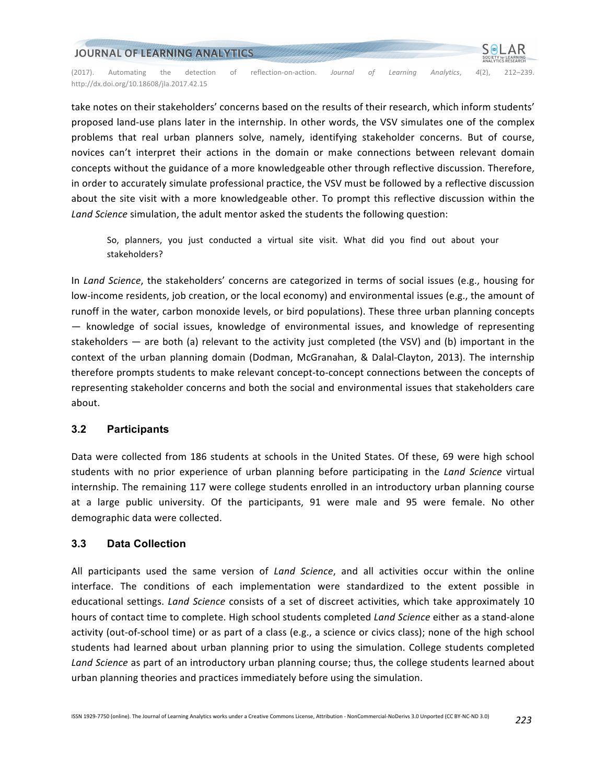

take notes on their stakeholders' concerns based on the results of their research, which inform students' proposed land-use plans later in the internship. In other words, the VSV simulates one of the complex problems that real urban planners solve, namely, identifying stakeholder concerns. But of course, novices can't interpret their actions in the domain or make connections between relevant domain concepts without the guidance of a more knowledgeable other through reflective discussion. Therefore, in order to accurately simulate professional practice, the VSV must be followed by a reflective discussion about the site visit with a more knowledgeable other. To prompt this reflective discussion within the Land Science simulation, the adult mentor asked the students the following question:

So, planners, you just conducted a virtual site visit. What did you find out about your stakeholders?

In *Land Science*, the stakeholders' concerns are categorized in terms of social issues (e.g., housing for low-income residents, job creation, or the local economy) and environmental issues (e.g., the amount of runoff in the water, carbon monoxide levels, or bird populations). These three urban planning concepts  $-$  knowledge of social issues, knowledge of environmental issues, and knowledge of representing stakeholders  $-$  are both (a) relevant to the activity just completed (the VSV) and (b) important in the context of the urban planning domain (Dodman, McGranahan, & Dalal-Clayton, 2013). The internship therefore prompts students to make relevant concept-to-concept connections between the concepts of representing stakeholder concerns and both the social and environmental issues that stakeholders care about.

### **3.2 Participants**

Data were collected from 186 students at schools in the United States. Of these, 69 were high school students with no prior experience of urban planning before participating in the *Land Science* virtual internship. The remaining 117 were college students enrolled in an introductory urban planning course at a large public university. Of the participants, 91 were male and 95 were female. No other demographic data were collected.

### **3.3 Data Collection**

All participants used the same version of *Land Science*, and all activities occur within the online interface. The conditions of each implementation were standardized to the extent possible in educational settings. *Land Science* consists of a set of discreet activities, which take approximately 10 hours of contact time to complete. High school students completed *Land Science* either as a stand-alone activity (out-of-school time) or as part of a class (e.g., a science or civics class); none of the high school students had learned about urban planning prior to using the simulation. College students completed Land Science as part of an introductory urban planning course; thus, the college students learned about urban planning theories and practices immediately before using the simulation.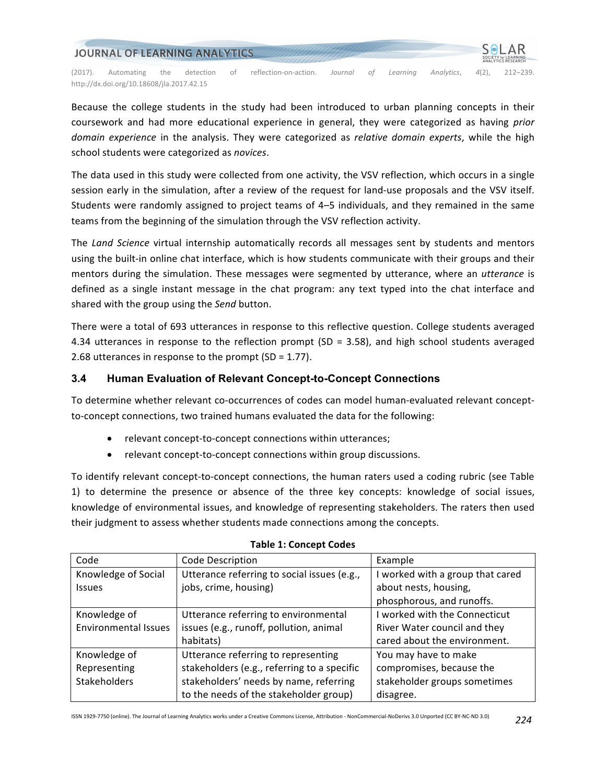

Because the college students in the study had been introduced to urban planning concepts in their coursework and had more educational experience in general, they were categorized as having *prior domain* experience in the analysis. They were categorized as *relative domain experts*, while the high school students were categorized as *novices*.

The data used in this study were collected from one activity, the VSV reflection, which occurs in a single session early in the simulation, after a review of the request for land-use proposals and the VSV itself. Students were randomly assigned to project teams of 4–5 individuals, and they remained in the same teams from the beginning of the simulation through the VSV reflection activity.

The *Land Science* virtual internship automatically records all messages sent by students and mentors using the built-in online chat interface, which is how students communicate with their groups and their mentors during the simulation. These messages were segmented by utterance, where an *utterance* is defined as a single instant message in the chat program: any text typed into the chat interface and shared with the group using the *Send* button.

There were a total of 693 utterances in response to this reflective question. College students averaged 4.34 utterances in response to the reflection prompt  $(SD = 3.58)$ , and high school students averaged 2.68 utterances in response to the prompt  $(SD = 1.77)$ .

### **3.4 Human Evaluation of Relevant Concept-to-Concept Connections**

To determine whether relevant co-occurrences of codes can model human-evaluated relevant conceptto-concept connections, two trained humans evaluated the data for the following:

- relevant concept-to-concept connections within utterances;
- relevant concept-to-concept connections within group discussions.

To identify relevant concept-to-concept connections, the human raters used a coding rubric (see Table 1) to determine the presence or absence of the three key concepts: knowledge of social issues, knowledge of environmental issues, and knowledge of representing stakeholders. The raters then used their judgment to assess whether students made connections among the concepts.

| Code                        | Code Description                            | Example                          |
|-----------------------------|---------------------------------------------|----------------------------------|
| Knowledge of Social         | Utterance referring to social issues (e.g., | I worked with a group that cared |
| <b>Issues</b>               | jobs, crime, housing)                       | about nests, housing,            |
|                             |                                             | phosphorous, and runoffs.        |
| Knowledge of                | Utterance referring to environmental        | I worked with the Connecticut    |
| <b>Environmental Issues</b> | issues (e.g., runoff, pollution, animal     | River Water council and they     |
|                             | habitats)                                   | cared about the environment.     |
| Knowledge of                | Utterance referring to representing         | You may have to make             |
| Representing                | stakeholders (e.g., referring to a specific | compromises, because the         |
| Stakeholders                | stakeholders' needs by name, referring      | stakeholder groups sometimes     |
|                             | to the needs of the stakeholder group)      | disagree.                        |

#### **Table 1: Concept Codes**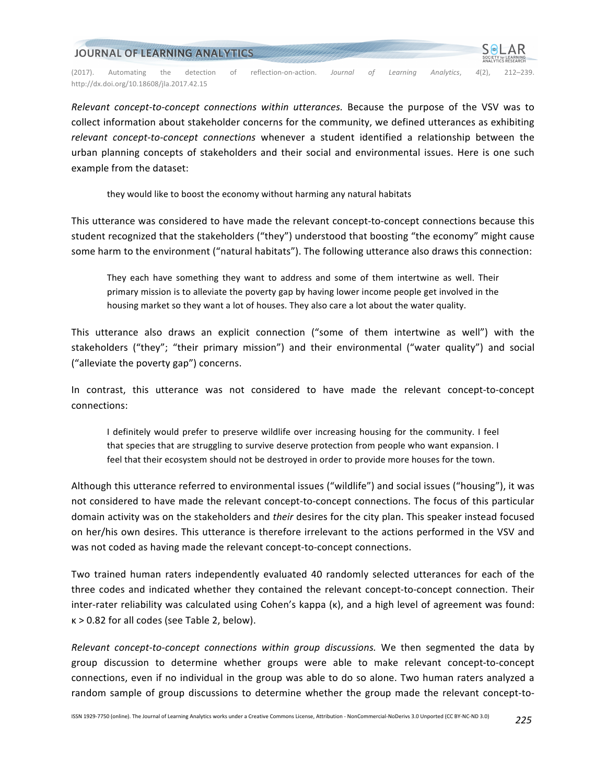

*Relevant concept-to-concept connections within utterances.* Because the purpose of the VSV was to collect information about stakeholder concerns for the community, we defined utterances as exhibiting *relevant concept-to-concept connections* whenever a student identified a relationship between the urban planning concepts of stakeholders and their social and environmental issues. Here is one such example from the dataset:

they would like to boost the economy without harming any natural habitats

This utterance was considered to have made the relevant concept-to-concept connections because this student recognized that the stakeholders ("they") understood that boosting "the economy" might cause some harm to the environment ("natural habitats"). The following utterance also draws this connection:

They each have something they want to address and some of them intertwine as well. Their primary mission is to alleviate the poverty gap by having lower income people get involved in the housing market so they want a lot of houses. They also care a lot about the water quality.

This utterance also draws an explicit connection ("some of them intertwine as well") with the stakeholders ("they"; "their primary mission") and their environmental ("water quality") and social ("alleviate the poverty gap") concerns.

In contrast, this utterance was not considered to have made the relevant concept-to-concept connections:

I definitely would prefer to preserve wildlife over increasing housing for the community. I feel that species that are struggling to survive deserve protection from people who want expansion. I feel that their ecosystem should not be destroyed in order to provide more houses for the town.

Although this utterance referred to environmental issues ("wildlife") and social issues ("housing"), it was not considered to have made the relevant concept-to-concept connections. The focus of this particular domain activity was on the stakeholders and *their* desires for the city plan. This speaker instead focused on her/his own desires. This utterance is therefore irrelevant to the actions performed in the VSV and was not coded as having made the relevant concept-to-concept connections.

Two trained human raters independently evaluated 40 randomly selected utterances for each of the three codes and indicated whether they contained the relevant concept-to-concept connection. Their inter-rater reliability was calculated using Cohen's kappa (k), and a high level of agreement was found:  $k > 0.82$  for all codes (see Table 2, below).

*Relevant concept-to-concept connections within group discussions.* We then segmented the data by group discussion to determine whether groups were able to make relevant concept-to-concept connections, even if no individual in the group was able to do so alone. Two human raters analyzed a random sample of group discussions to determine whether the group made the relevant concept-to-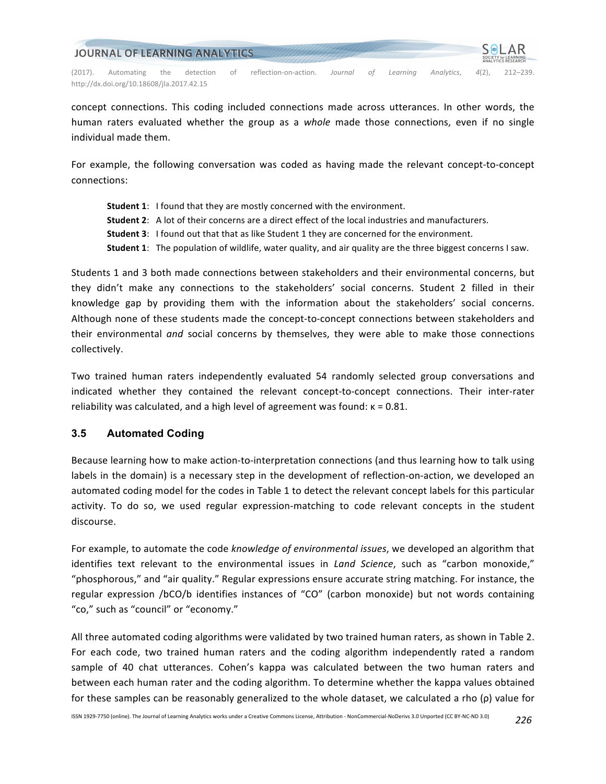| JOURNAL OF LEARNING ANALYTICS |                                           |     |           |    |                       |         |    |          |            | <b>SOLAR</b><br>SOCIETY for LEARNING<br><b>ANALYTICS RESEARCH</b> |              |
|-------------------------------|-------------------------------------------|-----|-----------|----|-----------------------|---------|----|----------|------------|-------------------------------------------------------------------|--------------|
| (2017).                       | Automating                                | the | detection | 0Ť | reflection-on-action. | Journal | ΩŤ | Learnina | Analytics. | $4(2)$ .                                                          | $212 - 239.$ |
|                               | http://dx.doi.org/10.18608/ila.2017.42.15 |     |           |    |                       |         |    |          |            |                                                                   |              |

concept connections. This coding included connections made across utterances. In other words, the human raters evaluated whether the group as a *whole* made those connections, even if no single individual made them.

For example, the following conversation was coded as having made the relevant concept-to-concept connections:

- **Student 1:** I found that they are mostly concerned with the environment.
- **Student 2:** A lot of their concerns are a direct effect of the local industries and manufacturers.
- **Student 3:** I found out that that as like Student 1 they are concerned for the environment.
- **Student 1:** The population of wildlife, water quality, and air quality are the three biggest concerns I saw.

Students 1 and 3 both made connections between stakeholders and their environmental concerns, but they didn't make any connections to the stakeholders' social concerns. Student 2 filled in their knowledge gap by providing them with the information about the stakeholders' social concerns. Although none of these students made the concept-to-concept connections between stakeholders and their environmental *and* social concerns by themselves, they were able to make those connections collectively.

Two trained human raters independently evaluated 54 randomly selected group conversations and indicated whether they contained the relevant concept-to-concept connections. Their inter-rater reliability was calculated, and a high level of agreement was found:  $\kappa = 0.81$ .

#### **3.5 Automated Coding**

Because learning how to make action-to-interpretation connections (and thus learning how to talk using labels in the domain) is a necessary step in the development of reflection-on-action, we developed an automated coding model for the codes in Table 1 to detect the relevant concept labels for this particular activity. To do so, we used regular expression-matching to code relevant concepts in the student discourse.

For example, to automate the code *knowledge of environmental issues*, we developed an algorithm that identifies text relevant to the environmental issues in *Land Science*, such as "carbon monoxide," "phosphorous," and "air quality." Regular expressions ensure accurate string matching. For instance, the regular expression /bCO/b identifies instances of "CO" (carbon monoxide) but not words containing "co," such as "council" or "economy."

All three automated coding algorithms were validated by two trained human raters, as shown in Table 2. For each code, two trained human raters and the coding algorithm independently rated a random sample of 40 chat utterances. Cohen's kappa was calculated between the two human raters and between each human rater and the coding algorithm. To determine whether the kappa values obtained for these samples can be reasonably generalized to the whole dataset, we calculated a rho (ρ) value for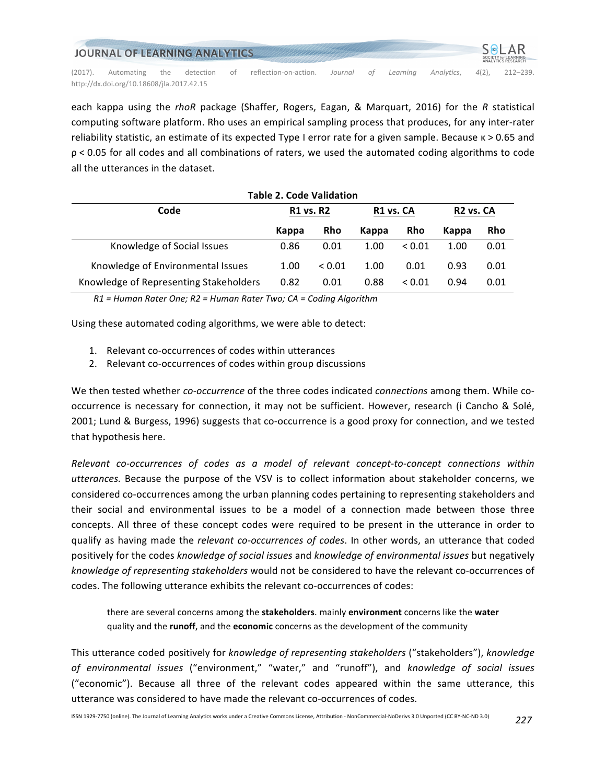| JOURNAL OF LEARNING ANALYTICS |                                           |     |           |    |                       |         |    |          | <b>SOLAR</b><br><b>SOCIETY for LEARNING</b><br><b>ANALYTICS RESEARCH</b> |          |              |
|-------------------------------|-------------------------------------------|-----|-----------|----|-----------------------|---------|----|----------|--------------------------------------------------------------------------|----------|--------------|
| (2017).                       | Automating                                | the | detection | 0Ť | reflection-on-action. | Journal | ΟŤ | Learnina | Analytics.                                                               | $4(2)$ . | $212 - 239.$ |
|                               | http://dx.doi.org/10.18608/ila.2017.42.15 |     |           |    |                       |         |    |          |                                                                          |          |              |

each kappa using the *rhoR* package (Shaffer, Rogers, Eagan, & Marquart, 2016) for the *R* statistical computing software platform. Rho uses an empirical sampling process that produces, for any inter-rater reliability statistic, an estimate of its expected Type I error rate for a given sample. Because κ > 0.65 and  $p < 0.05$  for all codes and all combinations of raters, we used the automated coding algorithms to code all the utterances in the dataset.

| <b>Table 2. Code Validation</b>        |                  |             |                       |            |                       |      |  |  |  |  |  |
|----------------------------------------|------------------|-------------|-----------------------|------------|-----------------------|------|--|--|--|--|--|
| Code                                   | <b>R1 vs. R2</b> |             | R <sub>1</sub> vs. CA |            | R <sub>2</sub> vs. CA |      |  |  |  |  |  |
|                                        | Kappa            | <b>Rho</b>  | Kappa                 | <b>Rho</b> | Kappa                 | Rho  |  |  |  |  |  |
| Knowledge of Social Issues             | 0.86             | 0.01        | 1.00                  | < 0.01     | 1.00                  | 0.01 |  |  |  |  |  |
| Knowledge of Environmental Issues      | 1.00             | ${}_{0.01}$ | 1.00                  | 0.01       | 0.93                  | 0.01 |  |  |  |  |  |
| Knowledge of Representing Stakeholders | 0.82             | 0.01        | 0.88                  | < 0.01     | 0.94                  | 0.01 |  |  |  |  |  |

*R1 = Human Rater One; R2 = Human Rater Two; CA = Coding Algorithm*

Using these automated coding algorithms, we were able to detect:

- 1. Relevant co-occurrences of codes within utterances
- 2. Relevant co-occurrences of codes within group discussions

We then tested whether *co-occurrence* of the three codes indicated *connections* among them. While cooccurrence is necessary for connection, it may not be sufficient. However, research (i Cancho & Solé, 2001; Lund & Burgess, 1996) suggests that co-occurrence is a good proxy for connection, and we tested that hypothesis here.

Relevant co-occurrences of codes as a model of relevant concept-to-concept connections within utterances. Because the purpose of the VSV is to collect information about stakeholder concerns, we considered co-occurrences among the urban planning codes pertaining to representing stakeholders and their social and environmental issues to be a model of a connection made between those three concepts. All three of these concept codes were required to be present in the utterance in order to qualify as having made the *relevant co-occurrences of codes*. In other words, an utterance that coded positively for the codes *knowledge of social issues* and *knowledge of environmental issues* but negatively knowledge of representing stakeholders would not be considered to have the relevant co-occurrences of codes. The following utterance exhibits the relevant co-occurrences of codes:

there are several concerns among the stakeholders. mainly environment concerns like the water quality and the runoff, and the economic concerns as the development of the community

This utterance coded positively for *knowledge of representing stakeholders* ("stakeholders"), *knowledge of environmental issues* ("environment," "water," and "runoff"), and *knowledge of social issues* ("economic"). Because all three of the relevant codes appeared within the same utterance, this utterance was considered to have made the relevant co-occurrences of codes.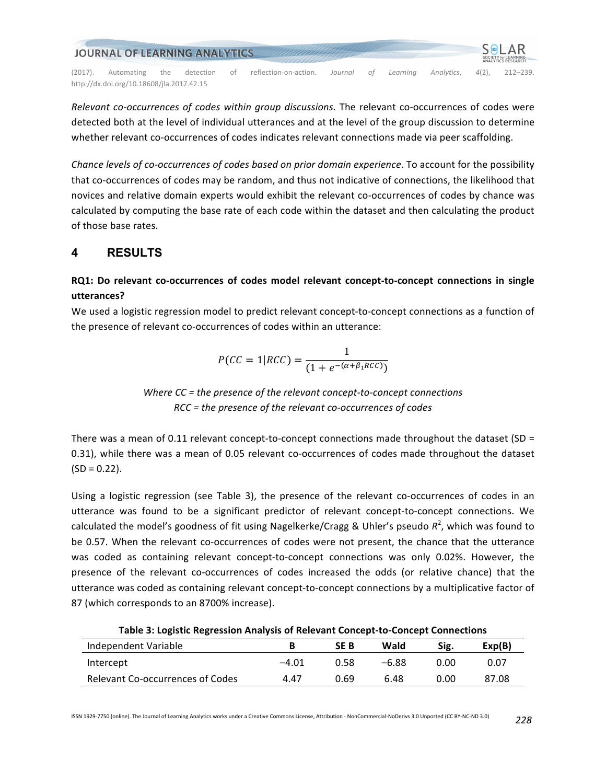

*Relevant co-occurrences of codes within group discussions.* The relevant co-occurrences of codes were detected both at the level of individual utterances and at the level of the group discussion to determine whether relevant co-occurrences of codes indicates relevant connections made via peer scaffolding.

*Chance levels of co-occurrences of codes based on prior domain experience*. To account for the possibility that co-occurrences of codes may be random, and thus not indicative of connections, the likelihood that novices and relative domain experts would exhibit the relevant co-occurrences of codes by chance was calculated by computing the base rate of each code within the dataset and then calculating the product of those base rates.

# **4 RESULTS**

# **RQ1:** Do relevant co-occurrences of codes model relevant concept-to-concept connections in single **utterances?**

We used a logistic regression model to predict relevant concept-to-concept connections as a function of the presence of relevant co-occurrences of codes within an utterance:

$$
P(CC = 1|RCC) = \frac{1}{(1 + e^{-(\alpha + \beta_1 RCC)})}
$$

*Where CC* = the presence of the relevant concept-to-concept connections *RCC = the presence of the relevant co-occurrences of codes*

There was a mean of 0.11 relevant concept-to-concept connections made throughout the dataset  $SD =$ 0.31), while there was a mean of 0.05 relevant co-occurrences of codes made throughout the dataset  $(SD = 0.22)$ .

Using a logistic regression (see Table 3), the presence of the relevant co-occurrences of codes in an utterance was found to be a significant predictor of relevant concept-to-concept connections. We calculated the model's goodness of fit using Nagelkerke/Cragg & Uhler's pseudo  $R^2$ , which was found to be 0.57. When the relevant co-occurrences of codes were not present, the chance that the utterance was coded as containing relevant concept-to-concept connections was only 0.02%. However, the presence of the relevant co-occurrences of codes increased the odds (or relative chance) that the utterance was coded as containing relevant concept-to-concept connections by a multiplicative factor of 87 (which corresponds to an 8700% increase).

**Table 3: Logistic Regression Analysis of Relevant Concept-to-Concept Connections**

| Independent Variable             |         | <b>SEB</b> | Wald    | Sig. | Exp(B) |
|----------------------------------|---------|------------|---------|------|--------|
| Intercept                        | $-4.01$ | 0.58       | $-6.88$ | 0.00 | 0.07   |
| Relevant Co-occurrences of Codes | 4.47    | 0.69       | 6.48    | 0.00 | 87.08  |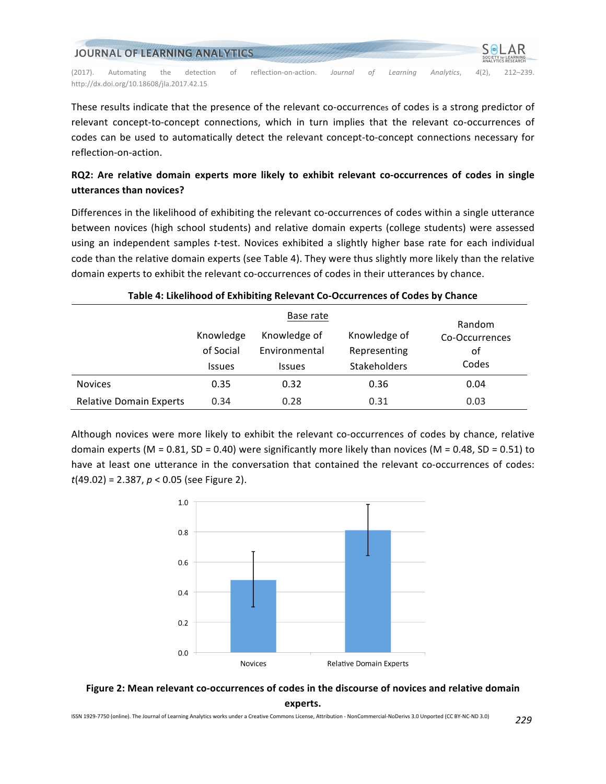| JOURNAL OF LEARNING ANALYTICS |                                           |     |           |    |                       |         |     |          | SOLAR<br>SOCIETY for LEARNING<br>ANALYTICS RESEARCH |       |              |
|-------------------------------|-------------------------------------------|-----|-----------|----|-----------------------|---------|-----|----------|-----------------------------------------------------|-------|--------------|
| (2017).                       | Automating                                | the | detection | 0Ť | reflection-on-action. | Journal | nt. | Learnina | Analytics.                                          | 4(2). | $212 - 239.$ |
|                               | http://dx.doi.org/10.18608/ila.2017.42.15 |     |           |    |                       |         |     |          |                                                     |       |              |

These results indicate that the presence of the relevant co-occurrences of codes is a strong predictor of relevant concept-to-concept connections, which in turn implies that the relevant co-occurrences of codes can be used to automatically detect the relevant concept-to-concept connections necessary for reflection-on-action.

# **RQ2:** Are relative domain experts more likely to exhibit relevant co-occurrences of codes in single **utterances than novices?**

Differences in the likelihood of exhibiting the relevant co-occurrences of codes within a single utterance between novices (high school students) and relative domain experts (college students) were assessed using an independent samples *t*-test. Novices exhibited a slightly higher base rate for each individual code than the relative domain experts (see Table 4). They were thus slightly more likely than the relative domain experts to exhibit the relevant co-occurrences of codes in their utterances by chance.

| Table 4. Enchronou of Exhibiting Refevant co-occarrences of cours by chance |               |               |              |                |  |  |  |  |
|-----------------------------------------------------------------------------|---------------|---------------|--------------|----------------|--|--|--|--|
|                                                                             |               | Base rate     | Random       |                |  |  |  |  |
|                                                                             | Knowledge     | Knowledge of  | Knowledge of | Co-Occurrences |  |  |  |  |
|                                                                             | of Social     | Environmental | Representing | οf             |  |  |  |  |
|                                                                             | <b>Issues</b> | <b>Issues</b> | Stakeholders | Codes          |  |  |  |  |
| <b>Novices</b>                                                              | 0.35          | 0.32          | 0.36         | 0.04           |  |  |  |  |
| <b>Relative Domain Experts</b>                                              | 0.34          | 0.28          | 0.31         | 0.03           |  |  |  |  |

#### **Table 4: Likelihood of Exhibiting Relevant Co-Occurrences of Codes by Chance**

Although novices were more likely to exhibit the relevant co-occurrences of codes by chance, relative domain experts  $(M = 0.81, SD = 0.40)$  were significantly more likely than novices  $(M = 0.48, SD = 0.51)$  to have at least one utterance in the conversation that contained the relevant co-occurrences of codes:  $t(49.02) = 2.387$ ,  $p < 0.05$  (see Figure 2).



Figure 2: Mean relevant co-occurrences of codes in the discourse of novices and relative domain **experts.**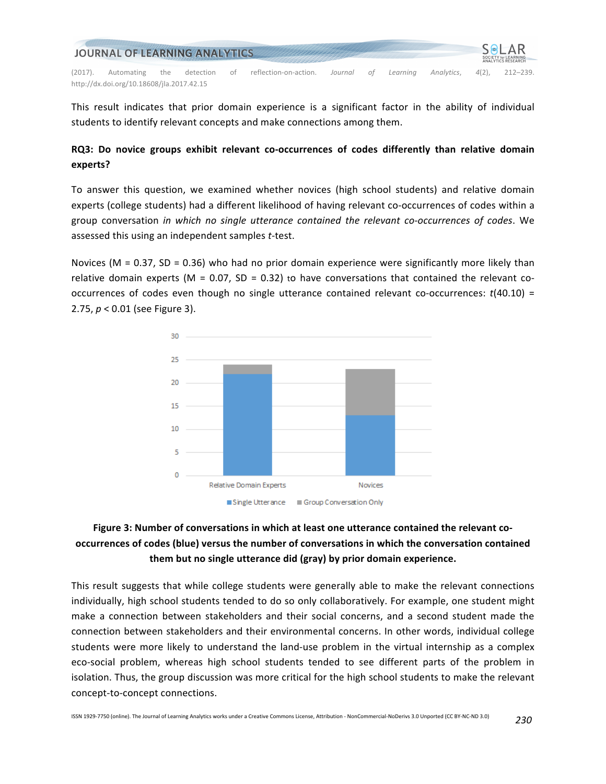| JOURNAL OF LEARNING ANALYTICS |                                           |     |           |    |                       |         |    |          | <b>SOLAR</b><br><b>SOCIETY for LEARNING</b><br><b>ANALYTICS RESEARCH</b> |       |              |
|-------------------------------|-------------------------------------------|-----|-----------|----|-----------------------|---------|----|----------|--------------------------------------------------------------------------|-------|--------------|
| (2017).                       | Automating                                | the | detection | 0Ť | reflection-on-action. | Journal | ΩŤ | Learnina | Analytics.                                                               | 4(2). | $212 - 239.$ |
|                               | http://dx.doi.org/10.18608/ila.2017.42.15 |     |           |    |                       |         |    |          |                                                                          |       |              |

This result indicates that prior domain experience is a significant factor in the ability of individual students to identify relevant concepts and make connections among them.

### **RQ3:** Do novice groups exhibit relevant co-occurrences of codes differently than relative domain **experts?**

To answer this question, we examined whether novices (high school students) and relative domain experts (college students) had a different likelihood of having relevant co-occurrences of codes within a group conversation in which no single utterance contained the relevant co-occurrences of codes. We assessed this using an independent samples *t*-test.

Novices (M = 0.37, SD = 0.36) who had no prior domain experience were significantly more likely than relative domain experts (M = 0.07, SD = 0.32) to have conversations that contained the relevant cooccurrences of codes even though no single utterance contained relevant co-occurrences:  $t(40.10) =$ 2.75,  $p < 0.01$  (see Figure 3).



# Figure 3: Number of conversations in which at least one utterance contained the relevant cooccurrences of codes (blue) versus the number of conversations in which the conversation contained **them but no single utterance did (gray) by prior domain experience.**

This result suggests that while college students were generally able to make the relevant connections individually, high school students tended to do so only collaboratively. For example, one student might make a connection between stakeholders and their social concerns, and a second student made the connection between stakeholders and their environmental concerns. In other words, individual college students were more likely to understand the land-use problem in the virtual internship as a complex eco-social problem, whereas high school students tended to see different parts of the problem in isolation. Thus, the group discussion was more critical for the high school students to make the relevant concept-to-concept connections.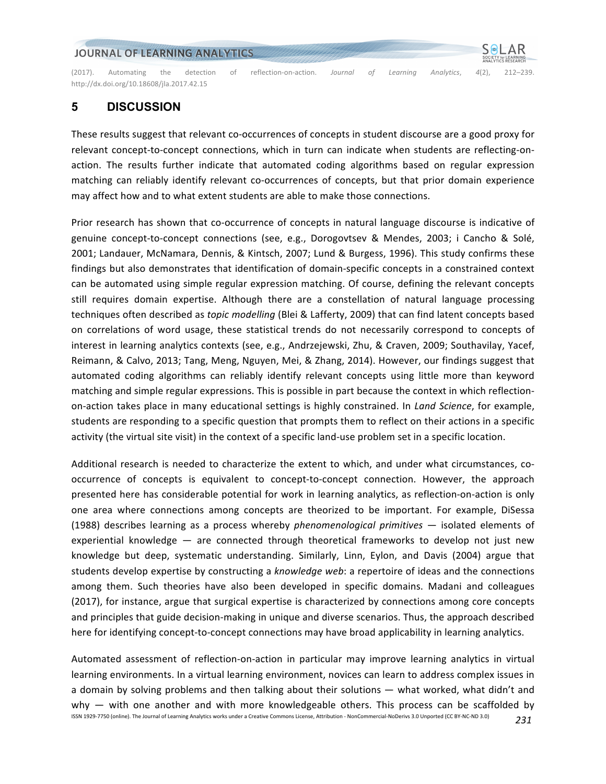(2017). Automating the detection of reflection-on-action. Journal of Learning Analytics, 4(2), 212–239. http://dx.doi.org/10.18608/jla.2017.42.15

# **5 DISCUSSION**

These results suggest that relevant co-occurrences of concepts in student discourse are a good proxy for relevant concept-to-concept connections, which in turn can indicate when students are reflecting-onaction. The results further indicate that automated coding algorithms based on regular expression matching can reliably identify relevant co-occurrences of concepts, but that prior domain experience may affect how and to what extent students are able to make those connections.

Prior research has shown that co-occurrence of concepts in natural language discourse is indicative of genuine concept-to-concept connections (see, e.g., Dorogovtsev & Mendes, 2003; i Cancho & Solé, 2001; Landauer, McNamara, Dennis, & Kintsch, 2007; Lund & Burgess, 1996). This study confirms these findings but also demonstrates that identification of domain-specific concepts in a constrained context can be automated using simple regular expression matching. Of course, defining the relevant concepts still requires domain expertise. Although there are a constellation of natural language processing techniques often described as *topic modelling* (Blei & Lafferty, 2009) that can find latent concepts based on correlations of word usage, these statistical trends do not necessarily correspond to concepts of interest in learning analytics contexts (see, e.g., Andrzejewski, Zhu, & Craven, 2009; Southavilay, Yacef, Reimann, & Calvo, 2013; Tang, Meng, Nguyen, Mei, & Zhang, 2014). However, our findings suggest that automated coding algorithms can reliably identify relevant concepts using little more than keyword matching and simple regular expressions. This is possible in part because the context in which reflectionon-action takes place in many educational settings is highly constrained. In *Land Science*, for example, students are responding to a specific question that prompts them to reflect on their actions in a specific activity (the virtual site visit) in the context of a specific land-use problem set in a specific location.

Additional research is needed to characterize the extent to which, and under what circumstances, cooccurrence of concepts is equivalent to concept-to-concept connection. However, the approach presented here has considerable potential for work in learning analytics, as reflection-on-action is only one area where connections among concepts are theorized to be important. For example, DiSessa (1988) describes learning as a process whereby *phenomenological primitives* — isolated elements of experiential knowledge  $-$  are connected through theoretical frameworks to develop not just new knowledge but deep, systematic understanding. Similarly, Linn, Eylon, and Davis (2004) argue that students develop expertise by constructing a *knowledge web*: a repertoire of ideas and the connections among them. Such theories have also been developed in specific domains. Madani and colleagues (2017), for instance, argue that surgical expertise is characterized by connections among core concepts and principles that guide decision-making in unique and diverse scenarios. Thus, the approach described here for identifying concept-to-concept connections may have broad applicability in learning analytics.

ISSN 1929-7750 (online). The Journal of Learning Analytics works under a Creative Commons License, Attribution - NonCommercial-NoDerivs 3.0 Unported (CC BY-NC-ND 3.0) *231* Automated assessment of reflection-on-action in particular may improve learning analytics in virtual learning environments. In a virtual learning environment, novices can learn to address complex issues in a domain by solving problems and then talking about their solutions — what worked, what didn't and why  $-$  with one another and with more knowledgeable others. This process can be scaffolded by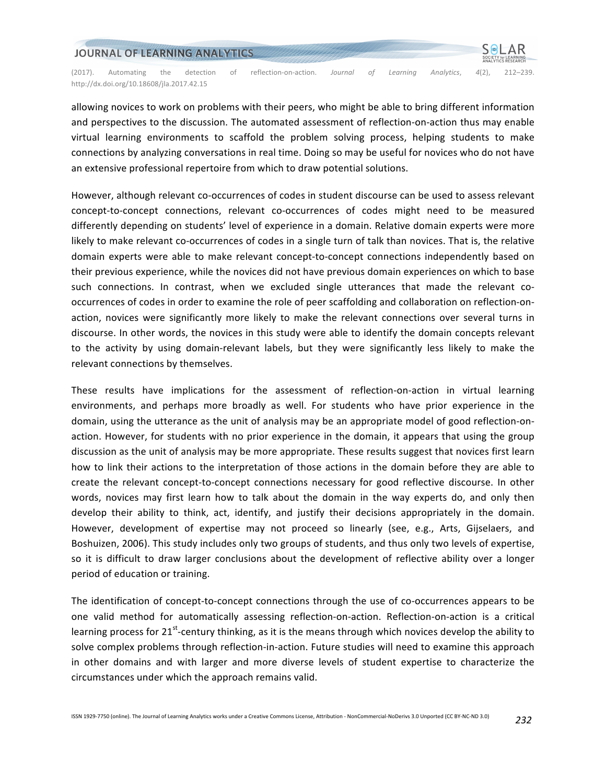

allowing novices to work on problems with their peers, who might be able to bring different information and perspectives to the discussion. The automated assessment of reflection-on-action thus may enable virtual learning environments to scaffold the problem solving process, helping students to make connections by analyzing conversations in real time. Doing so may be useful for novices who do not have an extensive professional repertoire from which to draw potential solutions.

However, although relevant co-occurrences of codes in student discourse can be used to assess relevant concept-to-concept connections, relevant co-occurrences of codes might need to be measured differently depending on students' level of experience in a domain. Relative domain experts were more likely to make relevant co-occurrences of codes in a single turn of talk than novices. That is, the relative domain experts were able to make relevant concept-to-concept connections independently based on their previous experience, while the novices did not have previous domain experiences on which to base such connections. In contrast, when we excluded single utterances that made the relevant cooccurrences of codes in order to examine the role of peer scaffolding and collaboration on reflection-onaction, novices were significantly more likely to make the relevant connections over several turns in discourse. In other words, the novices in this study were able to identify the domain concepts relevant to the activity by using domain-relevant labels, but they were significantly less likely to make the relevant connections by themselves.

These results have implications for the assessment of reflection-on-action in virtual learning environments, and perhaps more broadly as well. For students who have prior experience in the domain, using the utterance as the unit of analysis may be an appropriate model of good reflection-onaction. However, for students with no prior experience in the domain, it appears that using the group discussion as the unit of analysis may be more appropriate. These results suggest that novices first learn how to link their actions to the interpretation of those actions in the domain before they are able to create the relevant concept-to-concept connections necessary for good reflective discourse. In other words, novices may first learn how to talk about the domain in the way experts do, and only then develop their ability to think, act, identify, and justify their decisions appropriately in the domain. However, development of expertise may not proceed so linearly (see, e.g., Arts, Gijselaers, and Boshuizen, 2006). This study includes only two groups of students, and thus only two levels of expertise, so it is difficult to draw larger conclusions about the development of reflective ability over a longer period of education or training.

The identification of concept-to-concept connections through the use of co-occurrences appears to be one valid method for automatically assessing reflection-on-action. Reflection-on-action is a critical learning process for  $21^{st}$ -century thinking, as it is the means through which novices develop the ability to solve complex problems through reflection-in-action. Future studies will need to examine this approach in other domains and with larger and more diverse levels of student expertise to characterize the circumstances under which the approach remains valid.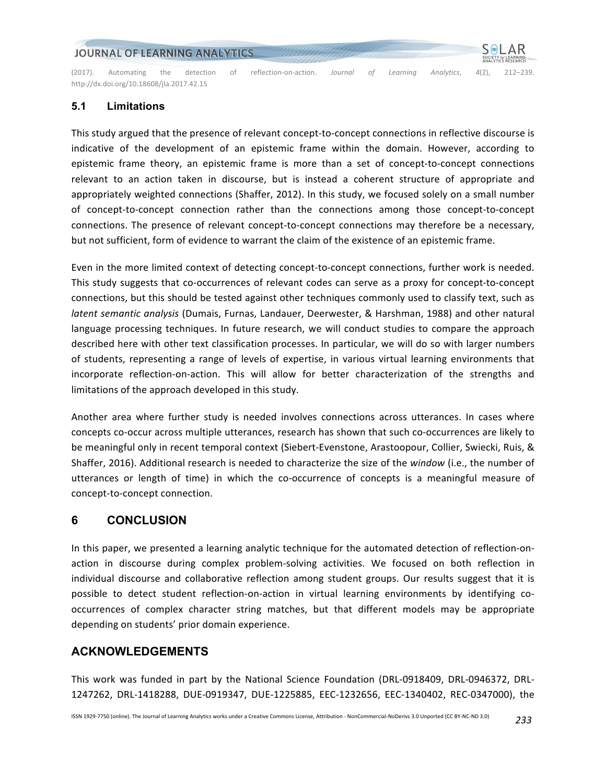(2017). Automating the detection of reflection-on-action. Journal of Learning Analytics, 4(2), 212–239. http://dx.doi.org/10.18608/jla.2017.42.15

#### **5.1 Limitations**

This study argued that the presence of relevant concept-to-concept connections in reflective discourse is indicative of the development of an epistemic frame within the domain. However, according to epistemic frame theory, an epistemic frame is more than a set of concept-to-concept connections relevant to an action taken in discourse, but is instead a coherent structure of appropriate and appropriately weighted connections (Shaffer, 2012). In this study, we focused solely on a small number of concept-to-concept connection rather than the connections among those concept-to-concept connections. The presence of relevant concept-to-concept connections may therefore be a necessary, but not sufficient, form of evidence to warrant the claim of the existence of an epistemic frame.

Even in the more limited context of detecting concept-to-concept connections, further work is needed. This study suggests that co-occurrences of relevant codes can serve as a proxy for concept-to-concept connections, but this should be tested against other techniques commonly used to classify text, such as *latent semantic analysis* (Dumais, Furnas, Landauer, Deerwester, & Harshman, 1988) and other natural language processing techniques. In future research, we will conduct studies to compare the approach described here with other text classification processes. In particular, we will do so with larger numbers of students, representing a range of levels of expertise, in various virtual learning environments that incorporate reflection-on-action. This will allow for better characterization of the strengths and limitations of the approach developed in this study.

Another area where further study is needed involves connections across utterances. In cases where concepts co-occur across multiple utterances, research has shown that such co-occurrences are likely to be meaningful only in recent temporal context (Siebert-Evenstone, Arastoopour, Collier, Swiecki, Ruis, & Shaffer, 2016). Additional research is needed to characterize the size of the window (i.e., the number of utterances or length of time) in which the co-occurrence of concepts is a meaningful measure of concept-to-concept connection.

# **6 CONCLUSION**

In this paper, we presented a learning analytic technique for the automated detection of reflection-onaction in discourse during complex problem-solving activities. We focused on both reflection in individual discourse and collaborative reflection among student groups. Our results suggest that it is possible to detect student reflection-on-action in virtual learning environments by identifying cooccurrences of complex character string matches, but that different models may be appropriate depending on students' prior domain experience.

### **ACKNOWLEDGEMENTS**

This work was funded in part by the National Science Foundation (DRL-0918409, DRL-0946372, DRL-1247262, DRL-1418288, DUE-0919347, DUE-1225885, EEC-1232656, EEC-1340402, REC-0347000), the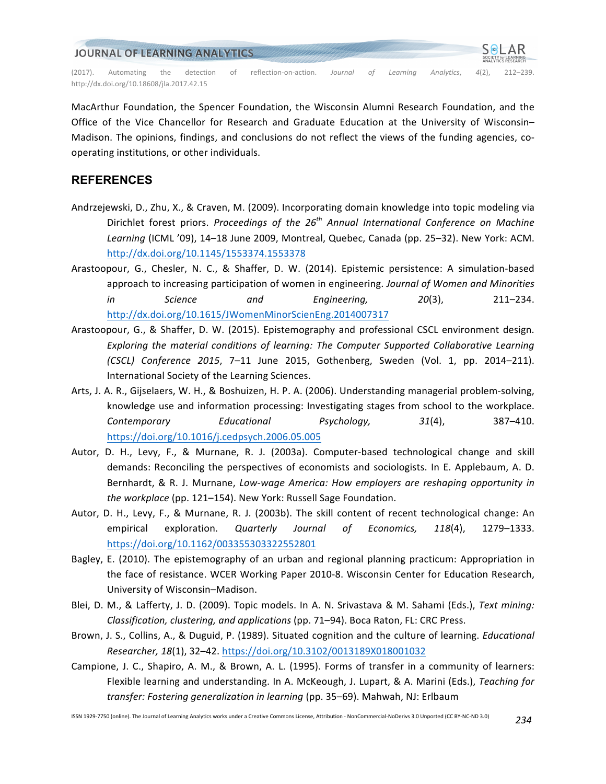

MacArthur Foundation, the Spencer Foundation, the Wisconsin Alumni Research Foundation, and the Office of the Vice Chancellor for Research and Graduate Education at the University of Wisconsin-Madison. The opinions, findings, and conclusions do not reflect the views of the funding agencies, cooperating institutions, or other individuals.

# **REFERENCES**

- Andrzejewski, D., Zhu, X., & Craven, M. (2009). Incorporating domain knowledge into topic modeling via Dirichlet forest priors. *Proceedings of the 26<sup>th</sup> Annual International Conference on Machine* Learning (ICML '09), 14-18 June 2009, Montreal, Quebec, Canada (pp. 25-32). New York: ACM. http://dx.doi.org/10.1145/1553374.1553378
- Arastoopour, G., Chesler, N. C., & Shaffer, D. W. (2014). Epistemic persistence: A simulation-based approach to increasing participation of women in engineering. *Journal of Women and Minorities in* Science and Engineering, 20(3), 211–234. http://dx.doi.org/10.1615/JWomenMinorScienEng.2014007317
- Arastoopour, G., & Shaffer, D. W. (2015). Epistemography and professional CSCL environment design. Exploring the material conditions of learning: The Computer Supported Collaborative Learning *(CSCL) Conference 2015*, 7–11 June 2015, Gothenberg, Sweden (Vol. 1, pp. 2014–211). International Society of the Learning Sciences.
- Arts, J. A. R., Gijselaers, W. H., & Boshuizen, H. P. A. (2006). Understanding managerial problem-solving, knowledge use and information processing: Investigating stages from school to the workplace. *Contemporary Educational Psychology, 31*(4), 387–410. https://doi.org/10.1016/j.cedpsych.2006.05.005
- Autor, D. H., Levy, F., & Murnane, R. J. (2003a). Computer-based technological change and skill demands: Reconciling the perspectives of economists and sociologists. In E. Applebaum, A. D. Bernhardt, & R. J. Murnane, *Low-wage America: How employers are reshaping opportunity in the workplace* (pp. 121–154). New York: Russell Sage Foundation.
- Autor, D. H., Levy, F., & Murnane, R. J. (2003b). The skill content of recent technological change: An empirical exploration. *Quarterly Journal of Economics, 118*(4), 1279–1333. https://doi.org/10.1162/003355303322552801
- Bagley, E. (2010). The epistemography of an urban and regional planning practicum: Appropriation in the face of resistance. WCER Working Paper 2010-8. Wisconsin Center for Education Research, University of Wisconsin-Madison.
- Blei, D. M., & Lafferty, J. D. (2009). Topic models. In A. N. Srivastava & M. Sahami (Eds.), Text mining: *Classification, clustering, and applications* (pp. 71–94). Boca Raton, FL: CRC Press.
- Brown, J. S., Collins, A., & Duguid, P. (1989). Situated cognition and the culture of learning. *Educational Researcher, 18*(1), 32–42. https://doi.org/10.3102/0013189X018001032
- Campione, J. C., Shapiro, A. M., & Brown, A. L. (1995). Forms of transfer in a community of learners: Flexible learning and understanding. In A. McKeough, J. Lupart, & A. Marini (Eds.), *Teaching for transfer: Fostering generalization in learning* (pp. 35–69). Mahwah, NJ: Erlbaum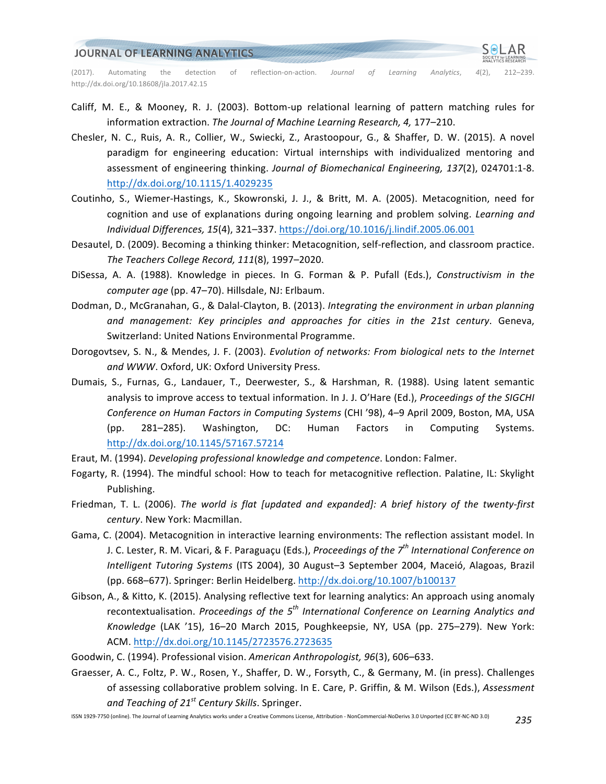(2017). Automating the detection of reflection-on-action. Journal of Learning Analytics, 4(2), 212–239. http://dx.doi.org/10.18608/jla.2017.42.15

- Califf, M. E., & Mooney, R. J. (2003). Bottom-up relational learning of pattern matching rules for information extraction. The Journal of Machine Learning Research, 4, 177-210.
- Chesler, N. C., Ruis, A. R., Collier, W., Swiecki, Z., Arastoopour, G., & Shaffer, D. W. (2015). A novel paradigm for engineering education: Virtual internships with individualized mentoring and assessment of engineering thinking. Journal of Biomechanical Engineering, 137(2), 024701:1-8. http://dx.doi.org/10.1115/1.4029235
- Coutinho, S., Wiemer-Hastings, K., Skowronski, J. J., & Britt, M. A. (2005). Metacognition, need for cognition and use of explanations during ongoing learning and problem solving. *Learning and Individual Differences, 15*(4), 321–337. https://doi.org/10.1016/j.lindif.2005.06.001
- Desautel, D. (2009). Becoming a thinking thinker: Metacognition, self-reflection, and classroom practice. *The Teachers College Record, 111*(8), 1997–2020.
- DiSessa, A. A. (1988). Knowledge in pieces. In G. Forman & P. Pufall (Eds.), *Constructivism in the* computer age (pp. 47-70). Hillsdale, NJ: Erlbaum.
- Dodman, D., McGranahan, G., & Dalal-Clayton, B. (2013). *Integrating the environment in urban planning* and management: Key principles and approaches for cities in the 21st century. Geneva, Switzerland: United Nations Environmental Programme.
- Dorogovtsev, S. N., & Mendes, J. F. (2003). *Evolution of networks: From biological nets to the Internet* and WWW. Oxford, UK: Oxford University Press.
- Dumais, S., Furnas, G., Landauer, T., Deerwester, S., & Harshman, R. (1988). Using latent semantic analysis to improve access to textual information. In J. J. O'Hare (Ed.), Proceedings of the SIGCHI *Conference on Human Factors in Computing Systems* (CHI '98), 4–9 April 2009, Boston, MA, USA (pp. 281–285). Washington, DC: Human Factors in Computing Systems. http://dx.doi.org/10.1145/57167.57214
- Eraut, M. (1994). *Developing professional knowledge and competence*. London: Falmer.
- Fogarty, R. (1994). The mindful school: How to teach for metacognitive reflection. Palatine, IL: Skylight Publishing.
- Friedman, T. L. (2006). *The world is flat [updated and expanded]:* A brief history of the twenty-first *century*. New York: Macmillan.
- Gama, C. (2004). Metacognition in interactive learning environments: The reflection assistant model. In J. C. Lester, R. M. Vicari, & F. Paraguaçu (Eds.), *Proceedings of the 7<sup>th</sup> International Conference on Intelligent Tutoring Systems* (ITS 2004), 30 August–3 September 2004, Maceió, Alagoas, Brazil (pp. 668–677). Springer: Berlin Heidelberg. http://dx.doi.org/10.1007/b100137
- Gibson, A., & Kitto, K. (2015). Analysing reflective text for learning analytics: An approach using anomaly recontextualisation. *Proceedings of the 5<sup>th</sup> International Conference on Learning Analytics and* Knowledge (LAK '15), 16-20 March 2015, Poughkeepsie, NY, USA (pp. 275–279). New York: ACM. http://dx.doi.org/10.1145/2723576.2723635
- Goodwin, C. (1994). Professional vision. American Anthropologist, 96(3), 606–633.
- Graesser, A. C., Foltz, P. W., Rosen, Y., Shaffer, D. W., Forsyth, C., & Germany, M. (in press). Challenges of assessing collaborative problem solving. In E. Care, P. Griffin, & M. Wilson (Eds.), Assessment *and Teaching of 21st Century Skills*. Springer.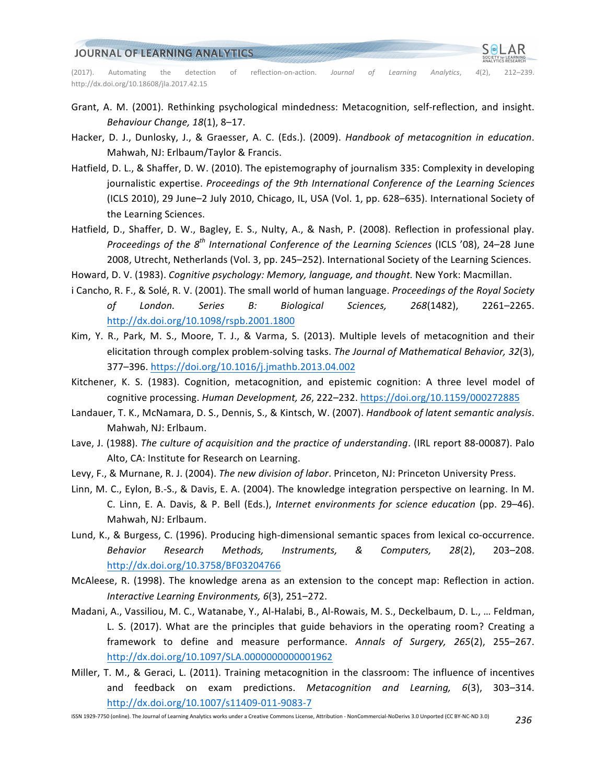

- Grant, A. M. (2001). Rethinking psychological mindedness: Metacognition, self-reflection, and insight. *Behaviour Change, 18*(1), 8–17.
- Hacker, D. J., Dunlosky, J., & Graesser, A. C. (Eds.). (2009). *Handbook of metacognition in education*. Mahwah, NJ: Erlbaum/Taylor & Francis.
- Hatfield, D. L., & Shaffer, D. W. (2010). The epistemography of journalism 335: Complexity in developing journalistic expertise. Proceedings of the 9th International Conference of the Learning Sciences (ICLS 2010), 29 June–2 July 2010, Chicago, IL, USA (Vol. 1, pp. 628–635). International Society of the Learning Sciences.
- Hatfield, D., Shaffer, D. W., Bagley, E. S., Nulty, A., & Nash, P. (2008). Reflection in professional play. *Proceedings of the 8<sup>th</sup> International Conference of the Learning Sciences* (ICLS '08), 24–28 June 2008, Utrecht, Netherlands (Vol. 3, pp. 245-252). International Society of the Learning Sciences.
- Howard, D. V. (1983). *Cognitive psychology: Memory, language, and thought.* New York: Macmillan.
- i Cancho, R. F., & Solé, R. V. (2001). The small world of human language. *Proceedings of the Royal Society of London. Series B: Biological Sciences, 268*(1482), 2261–2265. http://dx.doi.org/10.1098/rspb.2001.1800
- Kim, Y. R., Park, M. S., Moore, T. J., & Varma, S. (2013). Multiple levels of metacognition and their elicitation through complex problem-solving tasks. The Journal of Mathematical Behavior, 32(3), 377–396. https://doi.org/10.1016/j.jmathb.2013.04.002
- Kitchener, K. S. (1983). Cognition, metacognition, and epistemic cognition: A three level model of cognitive processing. Human Development, 26, 222-232. https://doi.org/10.1159/000272885
- Landauer, T. K., McNamara, D. S., Dennis, S., & Kintsch, W. (2007). *Handbook of latent semantic analysis*. Mahwah, NJ: Erlbaum.
- Lave, J. (1988). *The culture of acquisition and the practice of understanding*. (IRL report 88-00087). Palo Alto, CA: Institute for Research on Learning.
- Levy, F., & Murnane, R. J. (2004). The new division of labor. Princeton, NJ: Princeton University Press.
- Linn, M. C., Eylon, B.-S., & Davis, E. A. (2004). The knowledge integration perspective on learning. In M. C. Linn, E. A. Davis, & P. Bell (Eds.), *Internet environments for science education* (pp. 29–46). Mahwah, NJ: Erlbaum.
- Lund, K., & Burgess, C. (1996). Producing high-dimensional semantic spaces from lexical co-occurrence. *Behavior Research Methods, Instruments, & Computers, 28*(2), 203–208. http://dx.doi.org/10.3758/BF03204766
- McAleese, R. (1998). The knowledge arena as an extension to the concept map: Reflection in action. *Interactive Learning Environments, 6*(3), 251–272.
- Madani, A., Vassiliou, M. C., Watanabe, Y., Al-Halabi, B., Al-Rowais, M. S., Deckelbaum, D. L., ... Feldman, L. S. (2017). What are the principles that guide behaviors in the operating room? Creating a framework to define and measure performance. Annals of Surgery, 265(2), 255-267. http://dx.doi.org/10.1097/SLA.0000000000001962
- Miller, T. M., & Geraci, L. (2011). Training metacognition in the classroom: The influence of incentives and feedback on exam predictions. *Metacognition and Learning, 6*(3), 303–314. http://dx.doi.org/10.1007/s11409-011-9083-7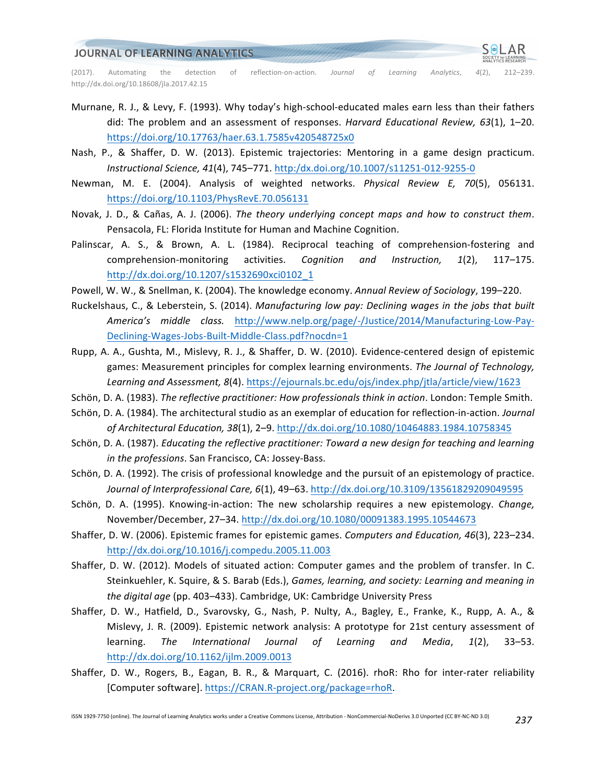

(2017). Automating the detection of reflection-on-action. *Journal of Learning Analytics*, 4(2), 212–239. http://dx.doi.org/10.18608/jla.2017.42.15

- Murnane, R. J., & Levy, F. (1993). Why today's high-school-educated males earn less than their fathers did: The problem and an assessment of responses. *Harvard Educational Review, 63*(1), 1–20. https://doi.org/10.17763/haer.63.1.7585v420548725x0
- Nash, P., & Shaffer, D. W. (2013). Epistemic trajectories: Mentoring in a game design practicum. *Instructional Science, 41*(4), 745–771. http:/dx.doi.org/10.1007/s11251-012-9255-0
- Newman, M. E. (2004). Analysis of weighted networks. *Physical Review E, 70*(5), 056131. https://doi.org/10.1103/PhysRevE.70.056131
- Novak, J. D., & Cañas, A. J. (2006). *The theory underlying concept maps and how to construct them.* Pensacola, FL: Florida Institute for Human and Machine Cognition.
- Palinscar, A. S., & Brown, A. L. (1984). Reciprocal teaching of comprehension-fostering and comprehension-monitoring activities. *Cognition and Instruction, 1*(2), 117–175. http://dx.doi.org/10.1207/s1532690xci0102\_1
- Powell, W. W., & Snellman, K. (2004). The knowledge economy. Annual Review of Sociology, 199-220.
- Ruckelshaus, C., & Leberstein, S. (2014). *Manufacturing low pay: Declining wages in the jobs that built America's middle class.* http://www.nelp.org/page/-/Justice/2014/Manufacturing-Low-Pay-Declining-Wages-Jobs-Built-Middle-Class.pdf?nocdn=1
- Rupp, A. A., Gushta, M., Mislevy, R. J., & Shaffer, D. W. (2010). Evidence-centered design of epistemic games: Measurement principles for complex learning environments. The Journal of Technology, Learning and Assessment, 8(4). https://ejournals.bc.edu/ojs/index.php/jtla/article/view/1623
- Schön, D. A. (1983). *The reflective practitioner: How professionals think in action*. London: Temple Smith.
- Schön, D. A. (1984). The architectural studio as an exemplar of education for reflection-in-action. *Journal of Architectural Education, 38*(1), 2–9. http://dx.doi.org/10.1080/10464883.1984.10758345
- Schön, D. A. (1987). *Educating the reflective practitioner: Toward a new design for teaching and learning* in the professions. San Francisco, CA: Jossey-Bass.
- Schön, D. A. (1992). The crisis of professional knowledge and the pursuit of an epistemology of practice. Journal of Interprofessional Care, 6(1), 49-63. http://dx.doi.org/10.3109/13561829209049595
- Schön, D. A. (1995). Knowing-in-action: The new scholarship requires a new epistemology. *Change,* November/December, 27-34. http://dx.doi.org/10.1080/00091383.1995.10544673
- Shaffer, D. W. (2006). Epistemic frames for epistemic games. *Computers and Education, 46*(3), 223–234. http://dx.doi.org/10.1016/j.compedu.2005.11.003
- Shaffer, D. W. (2012). Models of situated action: Computer games and the problem of transfer. In C. Steinkuehler, K. Squire, & S. Barab (Eds.), *Games, learning, and society: Learning and meaning in the digital age* (pp. 403–433). Cambridge, UK: Cambridge University Press
- Shaffer, D. W., Hatfield, D., Svarovsky, G., Nash, P. Nulty, A., Bagley, E., Franke, K., Rupp, A. A., & Mislevy, J. R. (2009). Epistemic network analysis: A prototype for 21st century assessment of learning. The International Journal of Learning and Media, 1(2), 33–53. http://dx.doi.org/10.1162/ijlm.2009.0013
- Shaffer, D. W., Rogers, B., Eagan, B. R., & Marquart, C. (2016). rhoR: Rho for inter-rater reliability [Computer software]. https://CRAN.R-project.org/package=rhoR.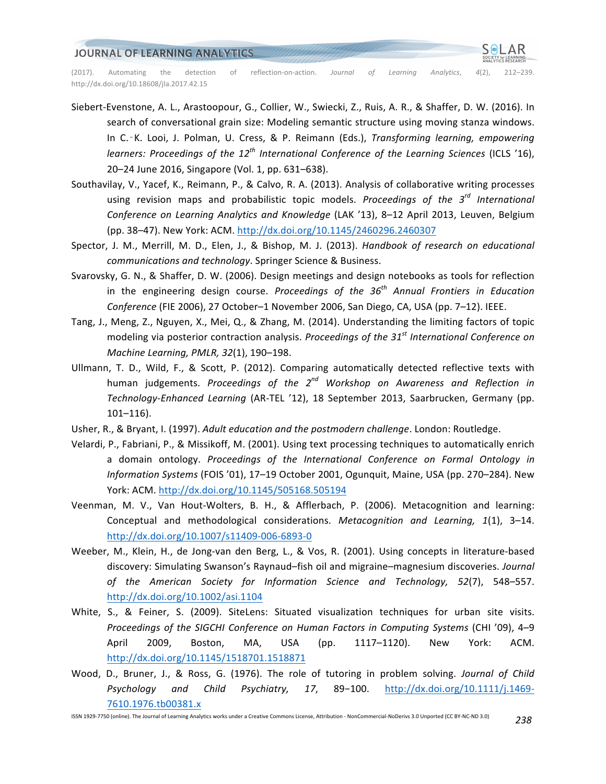

- Siebert-Evenstone, A. L., Arastoopour, G., Collier, W., Swiecki, Z., Ruis, A. R., & Shaffer, D. W. (2016). In search of conversational grain size: Modeling semantic structure using moving stanza windows. In C.<sup>-</sup>K. Looi, J. Polman, U. Cress, & P. Reimann (Eds.), *Transforming learning, empowering learners: Proceedings of the 12<sup>th</sup> International Conference of the Learning Sciences (ICLS '16),* 20–24 June 2016, Singapore (Vol. 1, pp. 631–638).
- Southavilay, V., Yacef, K., Reimann, P., & Calvo, R. A. (2013). Analysis of collaborative writing processes using revision maps and probabilistic topic models. *Proceedings of the 3<sup>rd</sup> International* Conference on Learning Analytics and Knowledge (LAK '13), 8-12 April 2013, Leuven, Belgium (pp. 38-47). New York: ACM. http://dx.doi.org/10.1145/2460296.2460307
- Spector, J. M., Merrill, M. D., Elen, J., & Bishop, M. J. (2013). *Handbook of research on educational* communications and technology. Springer Science & Business.
- Svarovsky, G. N., & Shaffer, D. W. (2006). Design meetings and design notebooks as tools for reflection in the engineering design course. *Proceedings of the 36<sup>th</sup> Annual Frontiers in Education* Conference (FIE 2006), 27 October-1 November 2006, San Diego, CA, USA (pp. 7-12). IEEE.
- Tang, J., Meng, Z., Nguyen, X., Mei, Q., & Zhang, M. (2014). Understanding the limiting factors of topic modeling via posterior contraction analysis. *Proceedings of the 31<sup>st</sup> International Conference on Machine Learning, PMLR, 32*(1), 190–198.
- Ullmann, T. D., Wild, F., & Scott, P. (2012). Comparing automatically detected reflective texts with human judgements. *Proceedings of the 2<sup>nd</sup> Workshop on Awareness and Reflection in Technology-Enhanced Learning* (AR-TEL '12), 18 September 2013, Saarbrucken, Germany (pp. 101–116).
- Usher, R., & Bryant, I. (1997). *Adult education and the postmodern challenge*. London: Routledge.
- Velardi, P., Fabriani, P., & Missikoff, M. (2001). Using text processing techniques to automatically enrich a domain ontology. *Proceedings of the International Conference on Formal Ontology in Information Systems* (FOIS '01), 17-19 October 2001, Ogunquit, Maine, USA (pp. 270-284). New York: ACM. http://dx.doi.org/10.1145/505168.505194
- Veenman, M. V., Van Hout-Wolters, B. H., & Afflerbach, P. (2006). Metacognition and learning: Conceptual and methodological considerations. *Metacognition and Learning, 1*(1), 3-14. http://dx.doi.org/10.1007/s11409-006-6893-0
- Weeber, M., Klein, H., de Jong-van den Berg, L., & Vos, R. (2001). Using concepts in literature-based discovery: Simulating Swanson's Raynaud-fish oil and migraine-magnesium discoveries. Journal *of the American Society for Information Science and Technology, 52*(7), 548–557. http://dx.doi.org/10.1002/asi.1104
- White, S., & Feiner, S. (2009). SiteLens: Situated visualization techniques for urban site visits. *Proceedings of the SIGCHI Conference on Human Factors in Computing Systems* (CHI '09), 4–9 April 2009, Boston, MA, USA (pp. 1117–1120). New York: ACM. http://dx.doi.org/10.1145/1518701.1518871
- Wood, D., Bruner, J., & Ross, G. (1976). The role of tutoring in problem solving. *Journal of Child Psychology and Child Psychiatry, 17*, 89−100. http://dx.doi.org/10.1111/j.1469- 7610.1976.tb00381.x